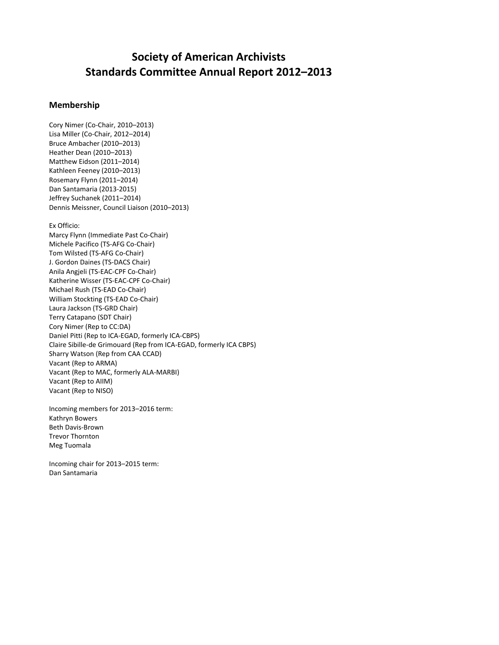# **Society of American Archivists Standards Committee Annual Report 2012–2013**

# **Membership**

Cory Nimer (Co‐Chair, 2010–2013) Lisa Miller (Co‐Chair, 2012–2014) Bruce Ambacher (2010–2013) Heather Dean (2010–2013) Matthew Eidson (2011–2014) Kathleen Feeney (2010–2013) Rosemary Flynn (2011–2014) Dan Santamaria (2013‐2015) Jeffrey Suchanek (2011–2014) Dennis Meissner, Council Liaison (2010–2013)

Ex Officio:

Marcy Flynn (Immediate Past Co‐Chair) Michele Pacifico (TS‐AFG Co‐Chair) Tom Wilsted (TS‐AFG Co‐Chair) J. Gordon Daines (TS‐DACS Chair) Anila Angjeli (TS‐EAC‐CPF Co‐Chair) Katherine Wisser (TS‐EAC‐CPF Co‐Chair) Michael Rush (TS‐EAD Co‐Chair) William Stockting (TS‐EAD Co‐Chair) Laura Jackson (TS‐GRD Chair) Terry Catapano (SDT Chair) Cory Nimer (Rep to CC:DA) Daniel Pitti (Rep to ICA‐EGAD, formerly ICA‐CBPS) Claire Sibille‐de Grimouard (Rep from ICA‐EGAD, formerly ICA CBPS) Sharry Watson (Rep from CAA CCAD) Vacant (Rep to ARMA) Vacant (Rep to MAC, formerly ALA‐MARBI) Vacant (Rep to AIIM) Vacant (Rep to NISO)

Incoming members for 2013–2016 term: Kathryn Bowers Beth Davis‐Brown Trevor Thornton Meg Tuomala

Incoming chair for 2013–2015 term: Dan Santamaria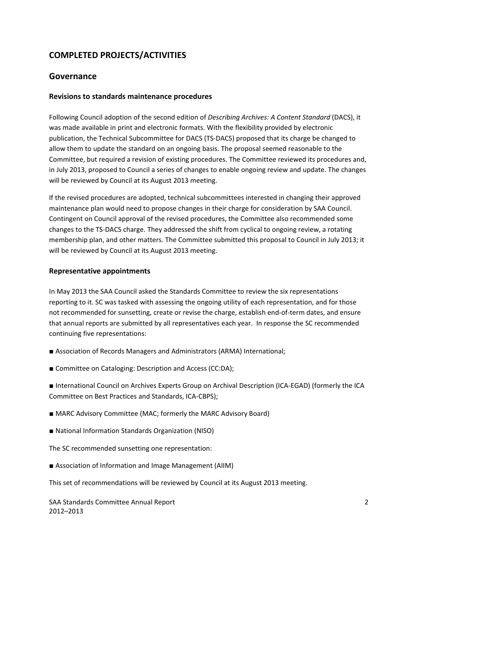# **COMPLETED PROJECTS/ACTIVITIES**

# **Governance**

## **Revisions to standards maintenance procedures**

Following Council adoption of the second edition of *Describing Archives: A Content Standard* (DACS), it was made available in print and electronic formats. With the flexibility provided by electronic publication, the Technical Subcommittee for DACS (TS‐DACS) proposed that its charge be changed to allow them to update the standard on an ongoing basis. The proposal seemed reasonable to the Committee, but required a revision of existing procedures. The Committee reviewed its procedures and, in July 2013, proposed to Council a series of changes to enable ongoing review and update. The changes will be reviewed by Council at its August 2013 meeting.

If the revised procedures are adopted, technical subcommittees interested in changing their approved maintenance plan would need to propose changes in their charge for consideration by SAA Council. Contingent on Council approval of the revised procedures, the Committee also recommended some changes to the TS‐DACS charge. They addressed the shift from cyclical to ongoing review, a rotating membership plan, and other matters. The Committee submitted this proposal to Council in July 2013; it will be reviewed by Council at its August 2013 meeting.

### **Representative appointments**

In May 2013 the SAA Council asked the Standards Committee to review the six representations reporting to it. SC was tasked with assessing the ongoing utility of each representation, and for those not recommended for sunsetting, create or revise the charge, establish end-of-term dates, and ensure that annual reports are submitted by all representatives each year. In response the SC recommended continuing five representations:

- Association of Records Managers and Administrators (ARMA) International;
- Committee on Cataloging: Description and Access (CC:DA);

■ International Council on Archives Experts Group on Archival Description (ICA-EGAD) (formerly the ICA Committee on Best Practices and Standards, ICA‐CBPS);

- MARC Advisory Committee (MAC; formerly the MARC Advisory Board)
- National Information Standards Organization (NISO)

The SC recommended sunsetting one representation:

■ Association of Information and Image Management (AIIM)

This set of recommendations will be reviewed by Council at its August 2013 meeting.

SAA Standards Committee Annual Report 2 2012–2013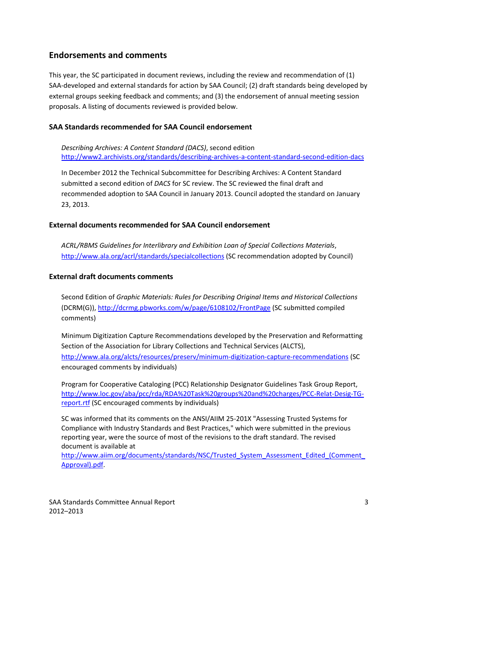# **Endorsements and comments**

This year, the SC participated in document reviews, including the review and recommendation of (1) SAA‐developed and external standards for action by SAA Council; (2) draft standards being developed by external groups seeking feedback and comments; and (3) the endorsement of annual meeting session proposals. A listing of documents reviewed is provided below.

#### **SAA Standards recommended for SAA Council endorsement**

*Describing Archives: A Content Standard (DACS)*, second edition [http://www2.archivists.org/standards/describing](http://www2.archivists.org/standards/describing-archives-a-content-standard-second-edition-dacs)‐archives‐a‐content‐standard‐second‐edition‐dacs

In December 2012 the Technical Subcommittee for Describing Archives: A Content Standard submitted a second edition of *DACS* for SC review. The SC reviewed the final draft and recommended adoption to SAA Council in January 2013. Council adopted the standard on January 23, 2013.

#### **External documents recommended for SAA Council endorsement**

*ACRL/RBMS Guidelines for Interlibrary and Exhibition Loan of Special Collections Materials*, <http://www.ala.org/acrl/standards/specialcollections> (SC recommendation adopted by Council)

## **External draft documents comments**

Second Edition of *Graphic Materials: Rules for Describing Original Items and Historical Collections* (DCRM(G)), <http://dcrmg.pbworks.com/w/page/6108102/FrontPage> (SC submitted compiled comments)

Minimum Digitization Capture Recommendations developed by the Preservation and Reformatting Section of the Association for Library Collections and Technical Services (ALCTS), [http://www.ala.org/alcts/resources/preserv/minimum](http://www.ala.org/alcts/resources/preserv/minimum-digitization-capture-recommendations)‐digitization‐capture‐recommendations (SC encouraged comments by individuals)

Program for Cooperative Cataloging (PCC) Relationship Designator Guidelines Task Group Report, [http://www.loc.gov/aba/pcc/rda/RDA%20Task%20groups%20and%20charges/PCC](http://www.loc.gov/aba/pcc/rda/RDA%20Task%20groups%20and%20charges/PCC-Relat-Desig-TG-report.rtf)‐Relat‐Desig‐TG‐ [report.rtf](http://www.loc.gov/aba/pcc/rda/RDA%20Task%20groups%20and%20charges/PCC-Relat-Desig-TG-report.rtf) (SC encouraged comments by individuals)

SC was informed that its comments on the ANSI/AIIM 25‐201X "Assessing Trusted Systems for Compliance with Industry Standards and Best Practices," which were submitted in the previous reporting year, were the source of most of the revisions to the draft standard. The revised document is available at

[http://www.aiim.org/documents/standards/NSC/Trusted\\_System\\_Assessment\\_Edited\\_\(Comment\\_](http://www.aiim.org/documents/standards/NSC/Trusted_System_Assessment_Edited_(Comment_Approval).pdf) [Approval\).pdf.](http://www.aiim.org/documents/standards/NSC/Trusted_System_Assessment_Edited_(Comment_Approval).pdf)

SAA Standards Committee Annual Report 3 2012–2013

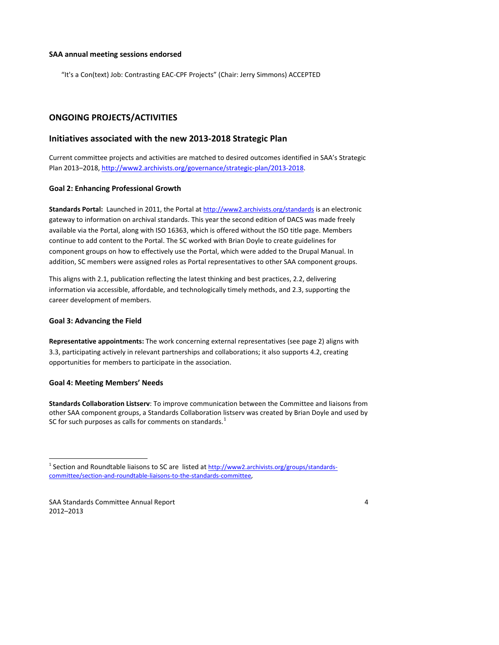#### **SAA annual meeting sessions endorsed**

"It's a Con(text) Job: Contrasting EAC‐CPF Projects" (Chair: Jerry Simmons) ACCEPTED

# **ONGOING PROJECTS/ACTIVITIES**

# **Initiatives associated with the new 2013‐2018 Strategic Plan**

Current committee projects and activities are matched to desired outcomes identified in SAA's Strategic Plan 2013–2018, [http://www2.archivists.org/governance/strategic](http://www2.archivists.org/governance/strategic-plan/2013-2018)‐plan/2013‐2018.

### **Goal 2: Enhancing Professional Growth**

**Standards Portal:** Launched in 2011, the Portal at <http://www2.archivists.org/standards> is an electronic gateway to information on archival standards. This year the second edition of DACS was made freely available via the Portal, along with ISO 16363, which is offered without the ISO title page. Members continue to add content to the Portal. The SC worked with Brian Doyle to create guidelines for component groups on how to effectively use the Portal, which were added to the Drupal Manual. In addition, SC members were assigned roles as Portal representatives to other SAA component groups.

This aligns with 2.1, publication reflecting the latest thinking and best practices, 2.2, delivering information via accessible, affordable, and technologically timely methods, and 2.3, supporting the career development of members.

#### **Goal 3: Advancing the Field**

**Representative appointments:** The work concerning external representatives (see page 2) aligns with 3.3, participating actively in relevant partnerships and collaborations; it also supports 4.2, creating opportunities for members to participate in the association.

## **Goal 4: Meeting Members' Needs**

**Standards Collaboration Listserv**: To improve communication between the Committee and liaisons from other SAA component groups, a Standards Collaboration listserv was created by Brian Doyle and used by SC for such purposes as calls for comments on standards. $<sup>1</sup>$  $<sup>1</sup>$  $<sup>1</sup>$ </sup>

<span id="page-3-0"></span>SAA Standards Committee Annual Report **1966** and 2008 and 2008 and 2011 and 2012 and 2012 and 2012 and 2012 and 2012 and 2012 and 2012 and 2012 and 2012 and 2012 and 2012 and 2012 and 2012 and 2012 and 2012 and 2012 and 20 2012–2013



<sup>&</sup>lt;sup>1</sup> Section and Roundtable liaisons to SC are listed at [http://www2.archivists.org/groups/standards](http://www2.archivists.org/groups/standards-committee/section-and-roundtable-liaisons-to-the-standards-committee)[committee/section](http://www2.archivists.org/groups/standards-committee/section-and-roundtable-liaisons-to-the-standards-committee)‐and‐roundtable‐liaisons‐to‐the‐standards‐committee,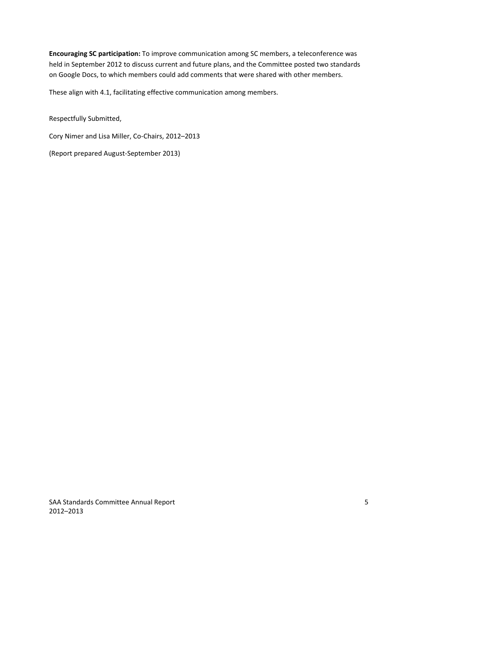**Encouraging SC participation:** To improve communication among SC members, a teleconference was held in September 2012 to discuss current and future plans, and the Committee posted two standards on Google Docs, to which members could add comments that were shared with other members.

These align with 4.1, facilitating effective communication among members.

Respectfully Submitted,

Cory Nimer and Lisa Miller, Co‐Chairs, 2012–2013

(Report prepared August‐September 2013)

SAA Standards Committee Annual Report **1966** SAA Standards Committee Annual Report 2012–2013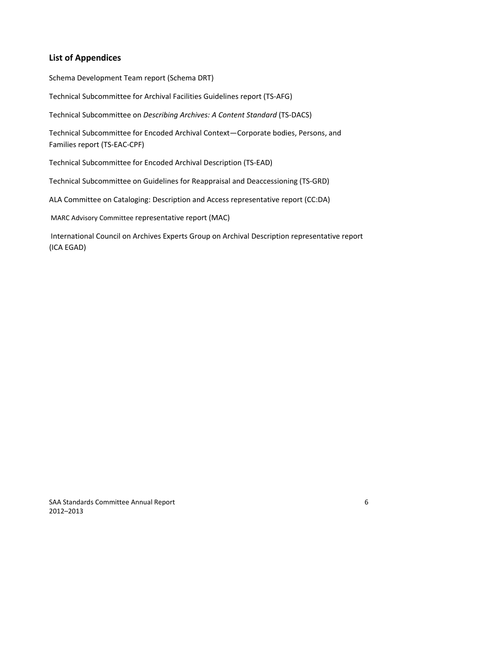# **List of Appendices**

Schema Development Team report (Schema DRT)

Technical Subcommittee for Archival Facilities Guidelines report (TS‐AFG)

Technical Subcommittee on *Describing Archives: A Content Standard* (TS‐DACS)

Technical Subcommittee for Encoded Archival Context—Corporate bodies, Persons, and Families report (TS‐EAC‐CPF)

Technical Subcommittee for Encoded Archival Description (TS‐EAD)

Technical Subcommittee on Guidelines for Reappraisal and Deaccessioning (TS‐GRD)

ALA Committee on Cataloging: Description and Access representative report (CC:DA)

MARC Advisory Committee representative report (MAC)

International Council on Archives Experts Group on Archival Description representative report (ICA EGAD)

SAA Standards Committee Annual Report 6 2012–2013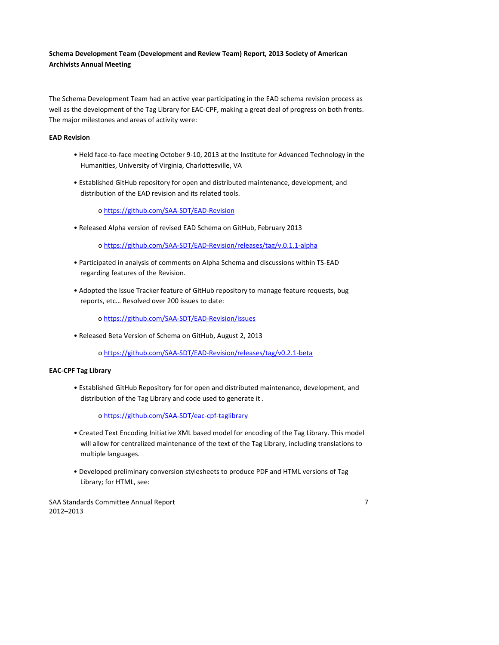# **Schema Development Team (Development and Review Team) Report, 2013 Society of American Archivists Annual Meeting**

The Schema Development Team had an active year participating in the EAD schema revision process as well as the development of the Tag Library for EAC‐CPF, making a great deal of progress on both fronts. The major milestones and areas of activity were:

### **EAD Revision**

- Held face‐to‐face meeting October 9‐10, 2013 at the Institute for Advanced Technology in the Humanities, University of Virginia, Charlottesville, VA
- Established GitHub repository for open and distributed maintenance, development, and distribution of the EAD revision and its related tools.

o [https://github.com/SAA](https://github.com/SAA-SDT/EAD-Revision)‐SDT/EAD‐Revision

• Released Alpha version of revised EAD Schema on GitHub, February 2013

o https://github.com/SAA‐SDT/EAD‐[Revision/releases/tag/v.0.1.1](https://github.com/SAA-SDT/EAD-Revision/releases/tag/v.0.1.1-alpha)‐alpha

- Participated in analysis of comments on Alpha Schema and discussions within TS‐EAD regarding features of the Revision.
- Adopted the Issue Tracker feature of GitHub repository to manage feature requests, bug reports, etc… Resolved over 200 issues to date:

o [https://github.com/SAA](https://github.com/SAA-SDT/EAD-Revision/issues)‐SDT/EAD‐Revision/issues

• Released Beta Version of Schema on GitHub, August 2, 2013

o https://github.com/SAA‐SDT/EAD‐[Revision/releases/tag/v0.2.1](https://github.com/SAA-SDT/EAD-Revision/releases/tag/v0.2.1-beta)‐beta

#### **EAC‐CPF Tag Library**

• Established GitHub Repository for for open and distributed maintenance, development, and distribution of the Tag Library and code used to generate it .

o [https://github.com/SAA](https://github.com/SAA-SDT/eac-cpf-taglibrary)‐SDT/eac‐cpf‐taglibrary

- Created Text Encoding Initiative XML based model for encoding of the Tag Library. This model will allow for centralized maintenance of the text of the Tag Library, including translations to multiple languages.
- Developed preliminary conversion stylesheets to produce PDF and HTML versions of Tag Library; for HTML, see:

SAA Standards Committee Annual Report 7 2012–2013

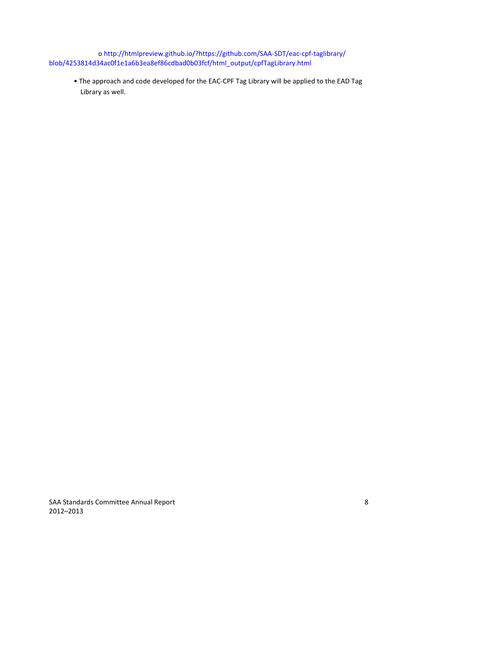o http://htmlpreview.github.io/?https://github.com/SAA‐SDT/eac‐cpf‐taglibrary/ blob/4253814d34ac0f1e1a6b3ea8ef86cdbad0b03fcf/html\_output/cpfTagLibrary.html

• The approach and code developed for the EAC‐CPF Tag Library will be applied to the EAD Tag Library as well.

SAA Standards Committee Annual Report 8 2012–2013

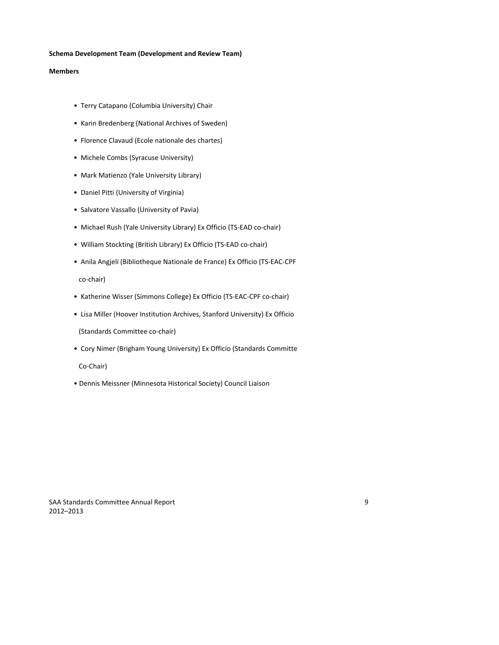#### **Schema Development Team (Development and Review Team)**

#### **Members**

- Terry Catapano (Columbia University) Chair
- Karin Bredenberg (National Archives of Sweden)
- Florence Clavaud (Ecole nationale des chartes)
- Michele Combs (Syracuse University)
- Mark Matienzo (Yale University Library)
- Daniel Pitti (University of Virginia)
- Salvatore Vassallo (University of Pavia)
- Michael Rush (Yale University Library) Ex Officio (TS‐EAD co‐chair)
- William Stockting (British Library) Ex Officio (TS‐EAD co‐chair)
- Anila Angjeli (Bibliotheque Nationale de France) Ex Officio (TS‐EAC‐CPF

co‐chair)

- Katherine Wisser (Simmons College) Ex Officio (TS‐EAC‐CPF co‐chair)
- Lisa Miller (Hoover Institution Archives, Stanford University) Ex Officio

(Standards Committee co‐chair)

• Cory Nimer (Brigham Young University) Ex Officio (Standards Committe

Co‐Chair)

• Dennis Meissner (Minnesota Historical Society) Council Liaison

SAA Standards Committee Annual Report 9 2012–2013

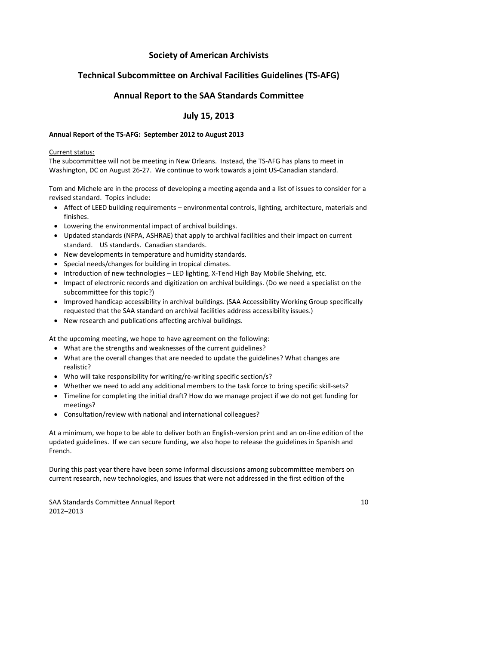# **Society of American Archivists**

# **Technical Subcommittee on Archival Facilities Guidelines (TS‐AFG)**

# **Annual Report to the SAA Standards Committee**

# **July 15, 2013**

## **Annual Report of the TS‐AFG: September 2012 to August 2013**

#### Current status:

The subcommittee will not be meeting in New Orleans. Instead, the TS-AFG has plans to meet in Washington, DC on August 26‐27. We continue to work towards a joint US‐Canadian standard.

Tom and Michele are in the process of developing a meeting agenda and a list of issues to consider for a revised standard. Topics include:

- Affect of LEED building requirements environmental controls, lighting, architecture, materials and finishes.
- Lowering the environmental impact of archival buildings.
- Updated standards (NFPA, ASHRAE) that apply to archival facilities and their impact on current standard. US standards. Canadian standards.
- New developments in temperature and humidity standards.
- Special needs/changes for building in tropical climates.
- Introduction of new technologies LED lighting, X-Tend High Bay Mobile Shelving, etc.
- Impact of electronic records and digitization on archival buildings. (Do we need a specialist on the subcommittee for this topic?)
- Improved handicap accessibility in archival buildings. (SAA Accessibility Working Group specifically requested that the SAA standard on archival facilities address accessibility issues.)
- New research and publications affecting archival buildings.

At the upcoming meeting, we hope to have agreement on the following:

- What are the strengths and weaknesses of the current guidelines?
- What are the overall changes that are needed to update the guidelines? What changes are realistic?
- Who will take responsibility for writing/re-writing specific section/s?
- Whether we need to add any additional members to the task force to bring specific skill-sets?
- Timeline for completing the initial draft? How do we manage project if we do not get funding for meetings?
- Consultation/review with national and international colleagues?

At a minimum, we hope to be able to deliver both an English‐version print and an on‐line edition of the updated guidelines. If we can secure funding, we also hope to release the guidelines in Spanish and French.

During this past year there have been some informal discussions among subcommittee members on current research, new technologies, and issues that were not addressed in the first edition of the

SAA Standards Committee Annual Report **10** and 10 and 10 and 10 and 10 and 10 and 10 and 10 and 10 and 10 and 10 and 10 and 10 and 10 and 10 and 10 and 10 and 10 and 10 and 10 and 10 and 10 and 10 and 10 and 10 and 10 and 2012–2013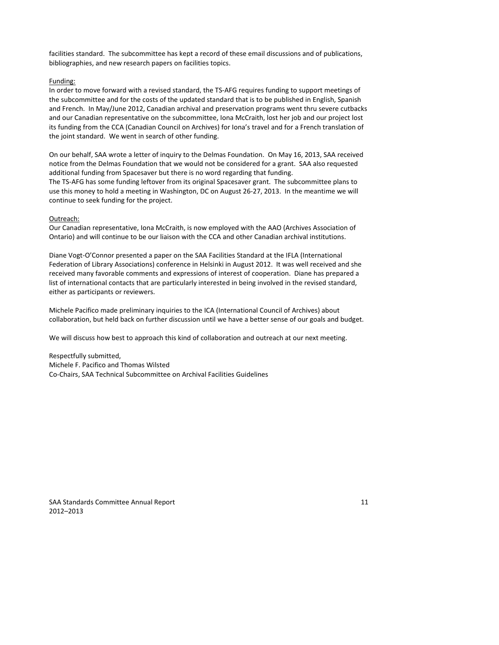facilities standard. The subcommittee has kept a record of these email discussions and of publications, bibliographies, and new research papers on facilities topics.

### Funding:

In order to move forward with a revised standard, the TS‐AFG requires funding to support meetings of the subcommittee and for the costs of the updated standard that is to be published in English, Spanish and French. In May/June 2012, Canadian archival and preservation programs went thru severe cutbacks and our Canadian representative on the subcommittee, Iona McCraith, lost her job and our project lost its funding from the CCA (Canadian Council on Archives) for Iona's travel and for a French translation of the joint standard. We went in search of other funding.

On our behalf, SAA wrote a letter of inquiry to the Delmas Foundation. On May 16, 2013, SAA received notice from the Delmas Foundation that we would not be considered for a grant. SAA also requested additional funding from Spacesaver but there is no word regarding that funding.

The TS‐AFG has some funding leftover from its original Spacesaver grant. The subcommittee plans to use this money to hold a meeting in Washington, DC on August 26‐27, 2013. In the meantime we will continue to seek funding for the project.

### Outreach:

Our Canadian representative, Iona McCraith, is now employed with the AAO (Archives Association of Ontario) and will continue to be our liaison with the CCA and other Canadian archival institutions.

Diane Vogt‐O'Connor presented a paper on the SAA Facilities Standard at the IFLA (International Federation of Library Associations) conference in Helsinki in August 2012. It was well received and she received many favorable comments and expressions of interest of cooperation. Diane has prepared a list of international contacts that are particularly interested in being involved in the revised standard, either as participants or reviewers.

Michele Pacifico made preliminary inquiries to the ICA (International Council of Archives) about collaboration, but held back on further discussion until we have a better sense of our goals and budget.

We will discuss how best to approach this kind of collaboration and outreach at our next meeting.

Respectfully submitted, Michele F. Pacifico and Thomas Wilsted Co‐Chairs, SAA Technical Subcommittee on Archival Facilities Guidelines

SAA Standards Committee Annual Report **11** and 2008 12 and 2008 12 and 2011 12 and 2012 12 and 2012 12 and 2012 12 and 2012 12 and 2012 12 and 2012 12 and 2012 12 and 2012 12 and 2012 12 and 2012 12 and 2012 12 and 2012 12 2012–2013

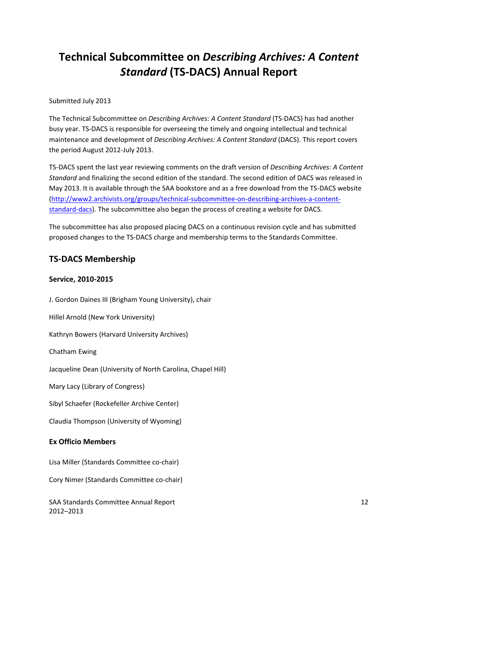# **Technical Subcommittee on** *Describing Archives: A Content Standard* **(TS‐DACS) Annual Report**

## Submitted July 2013

The Technical Subcommittee on *Describing Archives: A Content Standard* (TS‐DACS) has had another busy year. TS‐DACS is responsible for overseeing the timely and ongoing intellectual and technical maintenance and development of *Describing Archives: A Content Standard* (DACS). This report covers the period August 2012‐July 2013.

TS‐DACS spent the last year reviewing comments on the draft version of *Describing Archives: A Content Standard* and finalizing the second edition of the standard. The second edition of DACS was released in May 2013. It is available through the SAA bookstore and as a free download from the TS‐DACS website [\(http://www2.archivists.org/groups/technical](http://www2.archivists.org/groups/technical-subcommittee-on-describing-archives-a-content-standard-dacs)‐subcommittee‐on‐describing‐archives‐a‐content‐ [standard](http://www2.archivists.org/groups/technical-subcommittee-on-describing-archives-a-content-standard-dacs)-dacs). The subcommittee also began the process of creating a website for DACS.

The subcommittee has also proposed placing DACS on a continuous revision cycle and has submitted proposed changes to the TS‐DACS charge and membership terms to the Standards Committee.

# **TS‐DACS Membership**

### **Service, 2010‐2015**

J. Gordon Daines III (Brigham Young University), chair Hillel Arnold (New York University) Kathryn Bowers (Harvard University Archives) Chatham Ewing Jacqueline Dean (University of North Carolina, Chapel Hill) Mary Lacy (Library of Congress) Sibyl Schaefer (Rockefeller Archive Center) Claudia Thompson (University of Wyoming) **Ex Officio Members** Lisa Miller (Standards Committee co‐chair) Cory Nimer (Standards Committee co‐chair)

SAA Standards Committee Annual Report **12** and 12 2012–2013

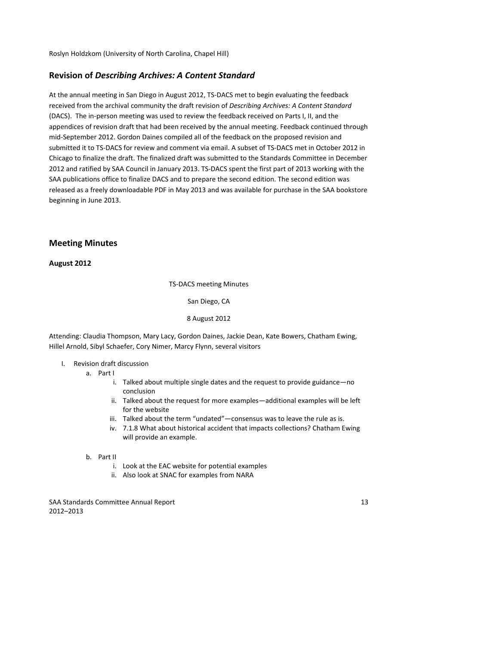Roslyn Holdzkom (University of North Carolina, Chapel Hill)

# **Revision of** *Describing Archives: A Content Standard*

At the annual meeting in San Diego in August 2012, TS‐DACS met to begin evaluating the feedback received from the archival community the draft revision of *Describing Archives: A Content Standard* (DACS). The in‐person meeting was used to review the feedback received on Parts I, II, and the appendices of revision draft that had been received by the annual meeting. Feedback continued through mid‐September 2012. Gordon Daines compiled all of the feedback on the proposed revision and submitted it to TS‐DACS for review and comment via email. A subset of TS‐DACS met in October 2012 in Chicago to finalize the draft. The finalized draft was submitted to the Standards Committee in December 2012 and ratified by SAA Council in January 2013. TS‐DACS spent the first part of 2013 working with the SAA publications office to finalize DACS and to prepare the second edition. The second edition was released as a freely downloadable PDF in May 2013 and was available for purchase in the SAA bookstore beginning in June 2013.

# **Meeting Minutes**

## **August 2012**

TS‐DACS meeting Minutes

San Diego, CA

### 8 August 2012

Attending: Claudia Thompson, Mary Lacy, Gordon Daines, Jackie Dean, Kate Bowers, Chatham Ewing, Hillel Arnold, Sibyl Schaefer, Cory Nimer, Marcy Flynn, several visitors

- I. Revision draft discussion
	- a. Part I
		- i. Talked about multiple single dates and the request to provide guidance—no conclusion
		- ii. Talked about the request for more examples—additional examples will be left for the website
		- iii. Talked about the term "undated"—consensus was to leave the rule as is.
		- iv. 7.1.8 What about historical accident that impacts collections? Chatham Ewing will provide an example.

## b. Part II

- i. Look at the EAC website for potential examples
- ii. Also look at SNAC for examples from NARA

SAA Standards Committee Annual Report **13** and 13 2012–2013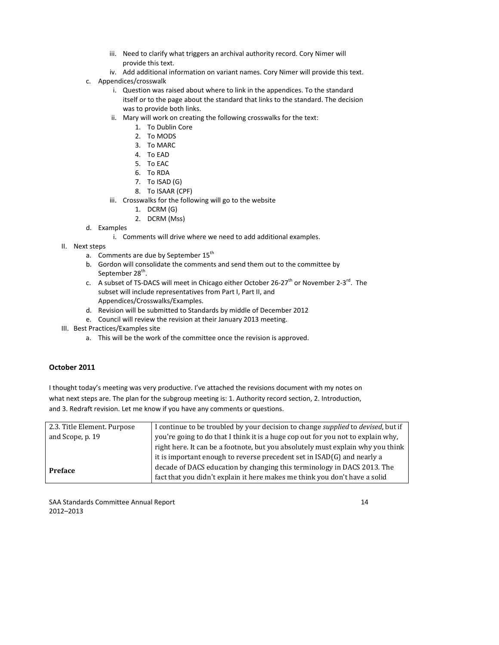- iii. Need to clarify what triggers an archival authority record. Cory Nimer will provide this text.
- iv. Add additional information on variant names. Cory Nimer will provide this text.
- c. Appendices/crosswalk
	- i. Question was raised about where to link in the appendices. To the standard itself or to the page about the standard that links to the standard. The decision was to provide both links.
	- ii. Mary will work on creating the following crosswalks for the text:
		- 1. To Dublin Core
		- 2. To MODS
		- 3. To MARC
		- 4. To EAD
		- 5. To EAC
		- 6. To RDA
		- 7. To ISAD (G)
		- 8. To ISAAR (CPF)
	- iii. Crosswalks for the following will go to the website
		- 1. DCRM (G)
		- 2. DCRM (Mss)
- d. Examples
	- i. Comments will drive where we need to add additional examples.
- II. Next steps
	- a. Comments are due by September 15<sup>th</sup>
	- b. Gordon will consolidate the comments and send them out to the committee by September 28<sup>th</sup>.
	- c. A subset of TS-DACS will meet in Chicago either October 26-27<sup>th</sup> or November 2-3<sup>rd</sup>. The subset will include representatives from Part I, Part II, and Appendices/Crosswalks/Examples.
	- d. Revision will be submitted to Standards by middle of December 2012
	- e. Council will review the revision at their January 2013 meeting.
- III. Best Practices/Examples site
	- a. This will be the work of the committee once the revision is approved.

# **October 2011**

I thought today's meeting was very productive. I've attached the revisions document with my notes on what next steps are. The plan for the subgroup meeting is: 1. Authority record section, 2. Introduction, and 3. Redraft revision. Let me kno w if you have any comments or questions.

| 2.3. Title Element. Purpose | I continue to be troubled by your decision to change <i>supplied</i> to <i>devised</i> , but if |  |
|-----------------------------|-------------------------------------------------------------------------------------------------|--|
| and Scope, p. 19            | you're going to do that I think it is a huge cop out for you not to explain why,                |  |
|                             | right here. It can be a footnote, but you absolutely must explain why you think                 |  |
|                             | it is important enough to reverse precedent set in ISAD(G) and nearly a                         |  |
| <b>Preface</b>              | decade of DACS education by changing this terminology in DACS 2013. The                         |  |
|                             | fact that you didn't explain it here makes me think you don't have a solid                      |  |

SAA Standards Committee Annual Report **14** and 2008 12 and 2008 12 and 2008 12 and 2008 12 and 2008 12 and 2008 12 2012–2013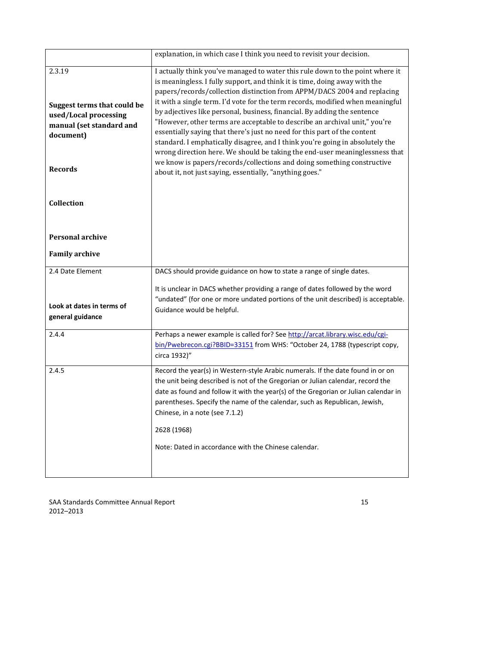|                                                                                                                                  | explanation, in which case I think you need to revisit your decision.                                                                                                                                                                                                                                                                                                                                                                                                                                                                                                                                                                                                                                                                                                                                                                                                 |  |
|----------------------------------------------------------------------------------------------------------------------------------|-----------------------------------------------------------------------------------------------------------------------------------------------------------------------------------------------------------------------------------------------------------------------------------------------------------------------------------------------------------------------------------------------------------------------------------------------------------------------------------------------------------------------------------------------------------------------------------------------------------------------------------------------------------------------------------------------------------------------------------------------------------------------------------------------------------------------------------------------------------------------|--|
| 2.3.19<br><b>Suggest terms that could be</b><br>used/Local processing<br>manual (set standard and<br>document)<br><b>Records</b> | I actually think you've managed to water this rule down to the point where it<br>is meaningless. I fully support, and think it is time, doing away with the<br>papers/records/collection distinction from APPM/DACS 2004 and replacing<br>it with a single term. I'd vote for the term records, modified when meaningful<br>by adjectives like personal, business, financial. By adding the sentence<br>"However, other terms are acceptable to describe an archival unit," you're<br>essentially saying that there's just no need for this part of the content<br>standard. I emphatically disagree, and I think you're going in absolutely the<br>wrong direction here. We should be taking the end-user meaninglessness that<br>we know is papers/records/collections and doing something constructive<br>about it, not just saying, essentially, "anything goes." |  |
| Collection                                                                                                                       |                                                                                                                                                                                                                                                                                                                                                                                                                                                                                                                                                                                                                                                                                                                                                                                                                                                                       |  |
| <b>Personal archive</b>                                                                                                          |                                                                                                                                                                                                                                                                                                                                                                                                                                                                                                                                                                                                                                                                                                                                                                                                                                                                       |  |
| <b>Family archive</b>                                                                                                            |                                                                                                                                                                                                                                                                                                                                                                                                                                                                                                                                                                                                                                                                                                                                                                                                                                                                       |  |
| 2.4 Date Element                                                                                                                 | DACS should provide guidance on how to state a range of single dates.                                                                                                                                                                                                                                                                                                                                                                                                                                                                                                                                                                                                                                                                                                                                                                                                 |  |
| Look at dates in terms of<br>general guidance                                                                                    | It is unclear in DACS whether providing a range of dates followed by the word<br>"undated" (for one or more undated portions of the unit described) is acceptable.<br>Guidance would be helpful.                                                                                                                                                                                                                                                                                                                                                                                                                                                                                                                                                                                                                                                                      |  |
| 2.4.4                                                                                                                            | Perhaps a newer example is called for? See http://arcat.library.wisc.edu/cgi-<br>bin/Pwebrecon.cgi?BBID=33151 from WHS: "October 24, 1788 (typescript copy,<br>circa 1932)"                                                                                                                                                                                                                                                                                                                                                                                                                                                                                                                                                                                                                                                                                           |  |
| 2.4.5                                                                                                                            | Record the year(s) in Western-style Arabic numerals. If the date found in or on<br>the unit being described is not of the Gregorian or Julian calendar, record the<br>date as found and follow it with the year(s) of the Gregorian or Julian calendar in<br>parentheses. Specify the name of the calendar, such as Republican, Jewish,<br>Chinese, in a note (see 7.1.2)<br>2628 (1968)<br>Note: Dated in accordance with the Chinese calendar.                                                                                                                                                                                                                                                                                                                                                                                                                      |  |

SAA Standards Committee Annual Report 15 2012–2013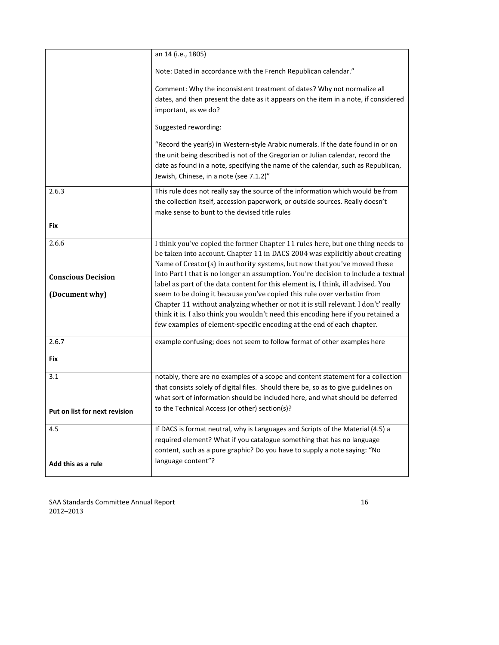|                                                      | an 14 (i.e., 1805)                                                                                                                                                                                                                                                                                                                                                                                                                                                                                                                                                                                                                                                                                                                              |  |
|------------------------------------------------------|-------------------------------------------------------------------------------------------------------------------------------------------------------------------------------------------------------------------------------------------------------------------------------------------------------------------------------------------------------------------------------------------------------------------------------------------------------------------------------------------------------------------------------------------------------------------------------------------------------------------------------------------------------------------------------------------------------------------------------------------------|--|
|                                                      | Note: Dated in accordance with the French Republican calendar."                                                                                                                                                                                                                                                                                                                                                                                                                                                                                                                                                                                                                                                                                 |  |
|                                                      | Comment: Why the inconsistent treatment of dates? Why not normalize all<br>dates, and then present the date as it appears on the item in a note, if considered<br>important, as we do?                                                                                                                                                                                                                                                                                                                                                                                                                                                                                                                                                          |  |
|                                                      | Suggested rewording:                                                                                                                                                                                                                                                                                                                                                                                                                                                                                                                                                                                                                                                                                                                            |  |
|                                                      | "Record the year(s) in Western-style Arabic numerals. If the date found in or on<br>the unit being described is not of the Gregorian or Julian calendar, record the<br>date as found in a note, specifying the name of the calendar, such as Republican,<br>Jewish, Chinese, in a note (see 7.1.2)"                                                                                                                                                                                                                                                                                                                                                                                                                                             |  |
| 2.6.3                                                | This rule does not really say the source of the information which would be from<br>the collection itself, accession paperwork, or outside sources. Really doesn't<br>make sense to bunt to the devised title rules                                                                                                                                                                                                                                                                                                                                                                                                                                                                                                                              |  |
| Fix                                                  |                                                                                                                                                                                                                                                                                                                                                                                                                                                                                                                                                                                                                                                                                                                                                 |  |
| 2.6.6<br><b>Conscious Decision</b><br>(Document why) | I think you've copied the former Chapter 11 rules here, but one thing needs to<br>be taken into account. Chapter 11 in DACS 2004 was explicitly about creating<br>Name of Creator(s) in authority systems, but now that you've moved these<br>into Part I that is no longer an assumption. You're decision to include a textual<br>label as part of the data content for this element is, I think, ill advised. You<br>seem to be doing it because you've copied this rule over verbatim from<br>Chapter 11 without analyzing whether or not it is still relevant. I don't' really<br>think it is. I also think you wouldn't need this encoding here if you retained a<br>few examples of element-specific encoding at the end of each chapter. |  |
| 2.6.7                                                | example confusing; does not seem to follow format of other examples here                                                                                                                                                                                                                                                                                                                                                                                                                                                                                                                                                                                                                                                                        |  |
| Fix                                                  |                                                                                                                                                                                                                                                                                                                                                                                                                                                                                                                                                                                                                                                                                                                                                 |  |
| 3.1                                                  | notably, there are no examples of a scope and content statement for a collection<br>that consists solely of digital files. Should there be, so as to give guidelines on<br>what sort of information should be included here, and what should be deferred                                                                                                                                                                                                                                                                                                                                                                                                                                                                                        |  |
| Put on list for next revision                        | to the Technical Access (or other) section(s)?                                                                                                                                                                                                                                                                                                                                                                                                                                                                                                                                                                                                                                                                                                  |  |
| 4.5                                                  | If DACS is format neutral, why is Languages and Scripts of the Material (4.5) a<br>required element? What if you catalogue something that has no language<br>content, such as a pure graphic? Do you have to supply a note saying: "No<br>language content"?                                                                                                                                                                                                                                                                                                                                                                                                                                                                                    |  |
| Add this as a rule                                   |                                                                                                                                                                                                                                                                                                                                                                                                                                                                                                                                                                                                                                                                                                                                                 |  |

SAA Standards Committee Annual Report 16 2012–2013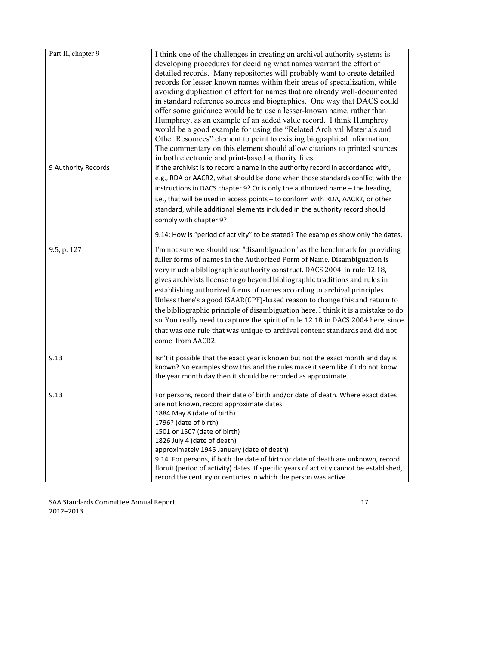| Part II, chapter 9  | I think one of the challenges in creating an archival authority systems is<br>developing procedures for deciding what names warrant the effort of<br>detailed records. Many repositories will probably want to create detailed<br>records for lesser-known names within their areas of specialization, while<br>avoiding duplication of effort for names that are already well-documented<br>in standard reference sources and biographies. One way that DACS could<br>offer some guidance would be to use a lesser-known name, rather than<br>Humphrey, as an example of an added value record. I think Humphrey<br>would be a good example for using the "Related Archival Materials and<br>Other Resources" element to point to existing biographical information.<br>The commentary on this element should allow citations to printed sources<br>in both electronic and print-based authority files. |
|---------------------|----------------------------------------------------------------------------------------------------------------------------------------------------------------------------------------------------------------------------------------------------------------------------------------------------------------------------------------------------------------------------------------------------------------------------------------------------------------------------------------------------------------------------------------------------------------------------------------------------------------------------------------------------------------------------------------------------------------------------------------------------------------------------------------------------------------------------------------------------------------------------------------------------------|
| 9 Authority Records | If the archivist is to record a name in the authority record in accordance with,<br>e.g., RDA or AACR2, what should be done when those standards conflict with the<br>instructions in DACS chapter 9? Or is only the authorized name - the heading,<br>i.e., that will be used in access points - to conform with RDA, AACR2, or other<br>standard, while additional elements included in the authority record should<br>comply with chapter 9?<br>9.14: How is "period of activity" to be stated? The examples show only the dates.                                                                                                                                                                                                                                                                                                                                                                     |
| 9.5, p. 127         | I'm not sure we should use "disambiguation" as the benchmark for providing<br>fuller forms of names in the Authorized Form of Name. Disambiguation is<br>very much a bibliographic authority construct. DACS 2004, in rule 12.18,<br>gives archivists license to go beyond bibliographic traditions and rules in<br>establishing authorized forms of names according to archival principles.<br>Unless there's a good ISAAR(CPF)-based reason to change this and return to<br>the bibliographic principle of disambiguation here, I think it is a mistake to do<br>so. You really need to capture the spirit of rule 12.18 in DACS 2004 here, since<br>that was one rule that was unique to archival content standards and did not<br>come from AACR2.                                                                                                                                                   |
| 9.13                | Isn't it possible that the exact year is known but not the exact month and day is<br>known? No examples show this and the rules make it seem like if I do not know<br>the year month day then it should be recorded as approximate.                                                                                                                                                                                                                                                                                                                                                                                                                                                                                                                                                                                                                                                                      |
| 9.13                | For persons, record their date of birth and/or date of death. Where exact dates<br>are not known, record approximate dates.<br>1884 May 8 (date of birth)<br>1796? (date of birth)<br>1501 or 1507 (date of birth)<br>1826 July 4 (date of death)<br>approximately 1945 January (date of death)<br>9.14. For persons, if both the date of birth or date of death are unknown, record<br>floruit (period of activity) dates. If specific years of activity cannot be established,<br>record the century or centuries in which the person was active.                                                                                                                                                                                                                                                                                                                                                      |

SAA Standards Committee Annual Report 17 2012–2013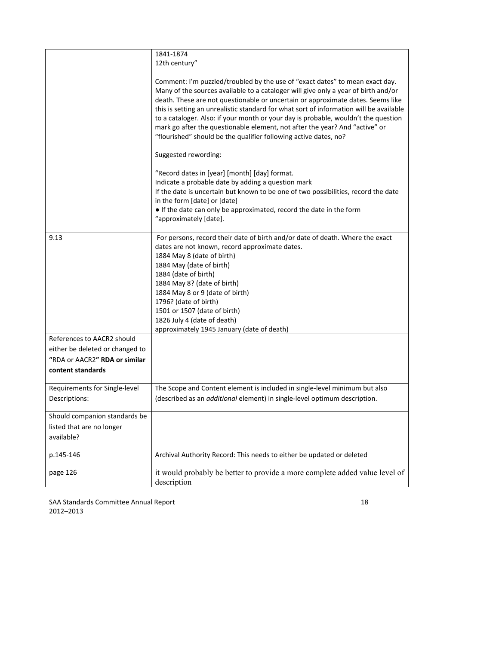|                                                                                                                     | 1841-1874<br>12th century"                                                                                                                                                                                                                                                                                                                                                                                                                                                                                                                                                               |
|---------------------------------------------------------------------------------------------------------------------|------------------------------------------------------------------------------------------------------------------------------------------------------------------------------------------------------------------------------------------------------------------------------------------------------------------------------------------------------------------------------------------------------------------------------------------------------------------------------------------------------------------------------------------------------------------------------------------|
|                                                                                                                     | Comment: I'm puzzled/troubled by the use of "exact dates" to mean exact day.<br>Many of the sources available to a cataloger will give only a year of birth and/or<br>death. These are not questionable or uncertain or approximate dates. Seems like<br>this is setting an unrealistic standard for what sort of information will be available<br>to a cataloger. Also: if your month or your day is probable, wouldn't the question<br>mark go after the questionable element, not after the year? And "active" or<br>"flourished" should be the qualifier following active dates, no? |
|                                                                                                                     | Suggested rewording:                                                                                                                                                                                                                                                                                                                                                                                                                                                                                                                                                                     |
|                                                                                                                     | "Record dates in [year] [month] [day] format.<br>Indicate a probable date by adding a question mark<br>If the date is uncertain but known to be one of two possibilities, record the date<br>in the form [date] or [date]<br>If the date can only be approximated, record the date in the form<br>"approximately [date].                                                                                                                                                                                                                                                                 |
| 9.13                                                                                                                | For persons, record their date of birth and/or date of death. Where the exact<br>dates are not known, record approximate dates.<br>1884 May 8 (date of birth)<br>1884 May (date of birth)<br>1884 (date of birth)<br>1884 May 8? (date of birth)<br>1884 May 8 or 9 (date of birth)<br>1796? (date of birth)<br>1501 or 1507 (date of birth)<br>1826 July 4 (date of death)<br>approximately 1945 January (date of death)                                                                                                                                                                |
| References to AACR2 should<br>either be deleted or changed to<br>"RDA or AACR2" RDA or similar<br>content standards |                                                                                                                                                                                                                                                                                                                                                                                                                                                                                                                                                                                          |
| Requirements for Single-level<br>Descriptions:                                                                      | The Scope and Content element is included in single-level minimum but also<br>(described as an additional element) in single-level optimum description.                                                                                                                                                                                                                                                                                                                                                                                                                                  |
| Should companion standards be<br>listed that are no longer<br>available?                                            |                                                                                                                                                                                                                                                                                                                                                                                                                                                                                                                                                                                          |
| p.145-146                                                                                                           | Archival Authority Record: This needs to either be updated or deleted                                                                                                                                                                                                                                                                                                                                                                                                                                                                                                                    |
| page 126                                                                                                            | it would probably be better to provide a more complete added value level of<br>description                                                                                                                                                                                                                                                                                                                                                                                                                                                                                               |

SAA Standards Committee Annual Report 18 2012–2013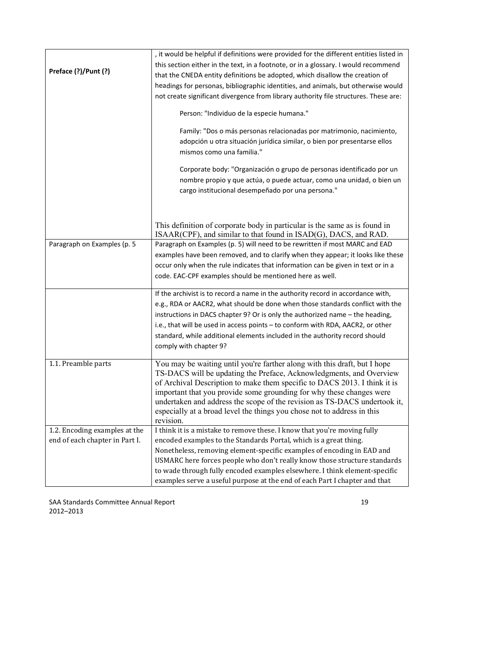| Preface (?)/Punt (?)           | , it would be helpful if definitions were provided for the different entities listed in<br>this section either in the text, in a footnote, or in a glossary. I would recommend<br>that the CNEDA entity definitions be adopted, which disallow the creation of<br>headings for personas, bibliographic identities, and animals, but otherwise would<br>not create significant divergence from library authority file structures. These are:<br>Person: "Individuo de la especie humana."<br>Family: "Dos o más personas relacionadas por matrimonio, nacimiento,<br>adopción u otra situación jurídica similar, o bien por presentarse ellos<br>mismos como una familia."<br>Corporate body: "Organización o grupo de personas identificado por un<br>nombre propio y que actúa, o puede actuar, como una unidad, o bien un<br>cargo institucional desempeñado por una persona." |  |
|--------------------------------|----------------------------------------------------------------------------------------------------------------------------------------------------------------------------------------------------------------------------------------------------------------------------------------------------------------------------------------------------------------------------------------------------------------------------------------------------------------------------------------------------------------------------------------------------------------------------------------------------------------------------------------------------------------------------------------------------------------------------------------------------------------------------------------------------------------------------------------------------------------------------------|--|
|                                | This definition of corporate body in particular is the same as is found in<br>ISAAR(CPF), and similar to that found in ISAD(G), DACS, and RAD.                                                                                                                                                                                                                                                                                                                                                                                                                                                                                                                                                                                                                                                                                                                                   |  |
| Paragraph on Examples (p. 5    | Paragraph on Examples (p. 5) will need to be rewritten if most MARC and EAD<br>examples have been removed, and to clarify when they appear; it looks like these<br>occur only when the rule indicates that information can be given in text or in a<br>code. EAC-CPF examples should be mentioned here as well.                                                                                                                                                                                                                                                                                                                                                                                                                                                                                                                                                                  |  |
|                                | If the archivist is to record a name in the authority record in accordance with,<br>e.g., RDA or AACR2, what should be done when those standards conflict with the<br>instructions in DACS chapter 9? Or is only the authorized name – the heading,<br>i.e., that will be used in access points - to conform with RDA, AACR2, or other<br>standard, while additional elements included in the authority record should<br>comply with chapter 9?                                                                                                                                                                                                                                                                                                                                                                                                                                  |  |
| 1.1. Preamble parts            | You may be waiting until you're farther along with this draft, but I hope<br>TS-DACS will be updating the Preface, Acknowledgments, and Overview<br>of Archival Description to make them specific to DACS 2013. I think it is<br>important that you provide some grounding for why these changes were<br>undertaken and address the scope of the revision as TS-DACS undertook it,<br>especially at a broad level the things you chose not to address in this<br>revision.                                                                                                                                                                                                                                                                                                                                                                                                       |  |
| 1.2. Encoding examples at the  | I think it is a mistake to remove these. I know that you're moving fully                                                                                                                                                                                                                                                                                                                                                                                                                                                                                                                                                                                                                                                                                                                                                                                                         |  |
| end of each chapter in Part I. | encoded examples to the Standards Portal, which is a great thing.<br>Nonetheless, removing element-specific examples of encoding in EAD and<br>USMARC here forces people who don't really know those structure standards<br>to wade through fully encoded examples elsewhere. I think element-specific<br>examples serve a useful purpose at the end of each Part I chapter and that                                                                                                                                                                                                                                                                                                                                                                                                                                                                                             |  |

SAA Standards Committee Annual Report 19 2012–2013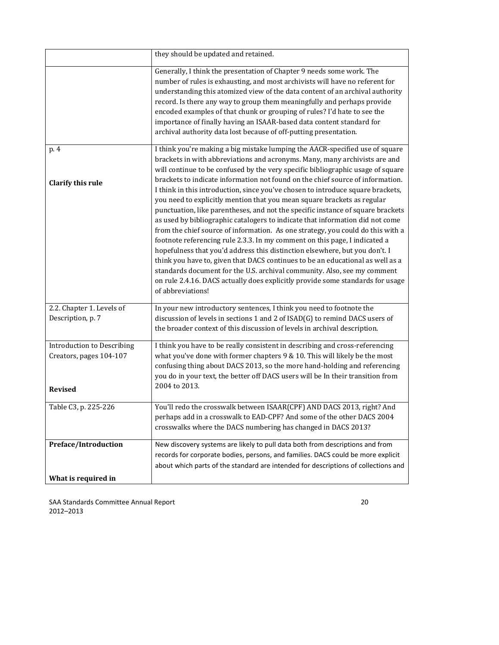|                                   | they should be updated and retained.                                                                                                                                                                                                                                                                                                                                                                                                                                                                                                                                                                                                                                                                                                                                                                                                                                                                                                                                                                                                                                                                   |
|-----------------------------------|--------------------------------------------------------------------------------------------------------------------------------------------------------------------------------------------------------------------------------------------------------------------------------------------------------------------------------------------------------------------------------------------------------------------------------------------------------------------------------------------------------------------------------------------------------------------------------------------------------------------------------------------------------------------------------------------------------------------------------------------------------------------------------------------------------------------------------------------------------------------------------------------------------------------------------------------------------------------------------------------------------------------------------------------------------------------------------------------------------|
|                                   | Generally, I think the presentation of Chapter 9 needs some work. The<br>number of rules is exhausting, and most archivists will have no referent for<br>understanding this atomized view of the data content of an archival authority<br>record. Is there any way to group them meaningfully and perhaps provide<br>encoded examples of that chunk or grouping of rules? I'd hate to see the<br>importance of finally having an ISAAR-based data content standard for<br>archival authority data lost because of off-putting presentation.                                                                                                                                                                                                                                                                                                                                                                                                                                                                                                                                                            |
| p. 4                              | I think you're making a big mistake lumping the AACR-specified use of square                                                                                                                                                                                                                                                                                                                                                                                                                                                                                                                                                                                                                                                                                                                                                                                                                                                                                                                                                                                                                           |
| <b>Clarify this rule</b>          | brackets in with abbreviations and acronyms. Many, many archivists are and<br>will continue to be confused by the very specific bibliographic usage of square<br>brackets to indicate information not found on the chief source of information.<br>I think in this introduction, since you've chosen to introduce square brackets,<br>you need to explicitly mention that you mean square brackets as regular<br>punctuation, like parentheses, and not the specific instance of square brackets<br>as used by bibliographic catalogers to indicate that information did not come<br>from the chief source of information. As one strategy, you could do this with a<br>footnote referencing rule 2.3.3. In my comment on this page, I indicated a<br>hopefulness that you'd address this distinction elsewhere, but you don't. I<br>think you have to, given that DACS continues to be an educational as well as a<br>standards document for the U.S. archival community. Also, see my comment<br>on rule 2.4.16. DACS actually does explicitly provide some standards for usage<br>of abbreviations! |
| 2.2. Chapter 1. Levels of         | In your new introductory sentences, I think you need to footnote the                                                                                                                                                                                                                                                                                                                                                                                                                                                                                                                                                                                                                                                                                                                                                                                                                                                                                                                                                                                                                                   |
| Description, p. 7                 | discussion of levels in sections 1 and 2 of ISAD(G) to remind DACS users of<br>the broader context of this discussion of levels in archival description.                                                                                                                                                                                                                                                                                                                                                                                                                                                                                                                                                                                                                                                                                                                                                                                                                                                                                                                                               |
| <b>Introduction to Describing</b> | I think you have to be really consistent in describing and cross-referencing                                                                                                                                                                                                                                                                                                                                                                                                                                                                                                                                                                                                                                                                                                                                                                                                                                                                                                                                                                                                                           |
| Creators, pages 104-107           | what you've done with former chapters 9 & 10. This will likely be the most<br>confusing thing about DACS 2013, so the more hand-holding and referencing                                                                                                                                                                                                                                                                                                                                                                                                                                                                                                                                                                                                                                                                                                                                                                                                                                                                                                                                                |
|                                   | you do in your text, the better off DACS users will be In their transition from<br>2004 to 2013.                                                                                                                                                                                                                                                                                                                                                                                                                                                                                                                                                                                                                                                                                                                                                                                                                                                                                                                                                                                                       |
| <b>Revised</b>                    |                                                                                                                                                                                                                                                                                                                                                                                                                                                                                                                                                                                                                                                                                                                                                                                                                                                                                                                                                                                                                                                                                                        |
| Table C3, p. 225-226              | You'll redo the crosswalk between ISAAR(CPF) AND DACS 2013, right? And                                                                                                                                                                                                                                                                                                                                                                                                                                                                                                                                                                                                                                                                                                                                                                                                                                                                                                                                                                                                                                 |
|                                   | perhaps add in a crosswalk to EAD-CPF? And some of the other DACS 2004<br>crosswalks where the DACS numbering has changed in DACS 2013?                                                                                                                                                                                                                                                                                                                                                                                                                                                                                                                                                                                                                                                                                                                                                                                                                                                                                                                                                                |
| Preface/Introduction              | New discovery systems are likely to pull data both from descriptions and from                                                                                                                                                                                                                                                                                                                                                                                                                                                                                                                                                                                                                                                                                                                                                                                                                                                                                                                                                                                                                          |
|                                   | records for corporate bodies, persons, and families. DACS could be more explicit<br>about which parts of the standard are intended for descriptions of collections and                                                                                                                                                                                                                                                                                                                                                                                                                                                                                                                                                                                                                                                                                                                                                                                                                                                                                                                                 |
| What is required in               |                                                                                                                                                                                                                                                                                                                                                                                                                                                                                                                                                                                                                                                                                                                                                                                                                                                                                                                                                                                                                                                                                                        |

SAA Standards Committee Annual Report **1966** 20 and 20 and 20 2012–2013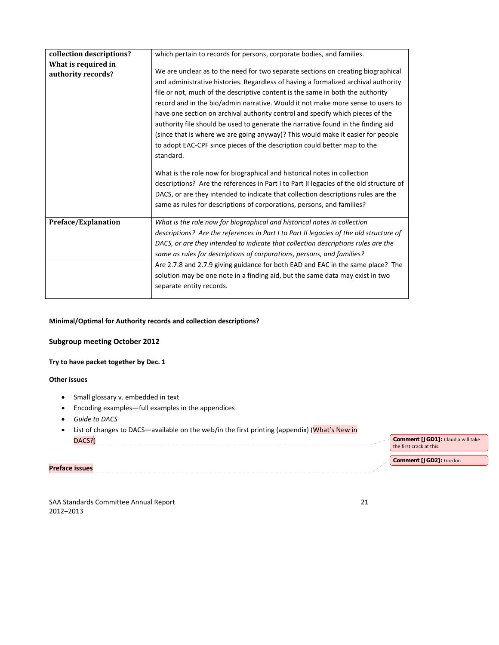| collection descriptions? | which pertain to records for persons, corporate bodies, and families.                  |  |
|--------------------------|----------------------------------------------------------------------------------------|--|
| What is required in      |                                                                                        |  |
| authority records?       | We are unclear as to the need for two separate sections on creating biographical       |  |
|                          | and administrative histories. Regardless of having a formalized archival authority     |  |
|                          | file or not, much of the descriptive content is the same in both the authority         |  |
|                          | record and in the bio/admin narrative. Would it not make more sense to users to        |  |
|                          | have one section on archival authority control and specify which pieces of the         |  |
|                          | authority file should be used to generate the narrative found in the finding aid       |  |
|                          | (since that is where we are going anyway)? This would make it easier for people        |  |
|                          | to adopt EAC-CPF since pieces of the description could better map to the               |  |
|                          | standard.                                                                              |  |
|                          |                                                                                        |  |
|                          | What is the role now for biographical and historical notes in collection               |  |
|                          | descriptions? Are the references in Part I to Part II legacies of the old structure of |  |
|                          | DACS, or are they intended to indicate that collection descriptions rules are the      |  |
|                          | same as rules for descriptions of corporations, persons, and families?                 |  |
|                          |                                                                                        |  |
| Preface/Explanation      | What is the role now for biographical and historical notes in collection               |  |
|                          | descriptions? Are the references in Part I to Part II legacies of the old structure of |  |
|                          | DACS, or are they intended to indicate that collection descriptions rules are the      |  |
|                          | same as rules for descriptions of corporations, persons, and families?                 |  |
|                          | Are 2.7.8 and 2.7.9 giving guidance for both EAD and EAC in the same place? The        |  |
|                          | solution may be one note in a finding aid, but the same data may exist in two          |  |
|                          | separate entity records.                                                               |  |
|                          |                                                                                        |  |

# **Minimal/Optimal for Authority records and collection descriptions?**

# **Subgroup meeting October 2012**

# **Try to have packet together by Dec. 1**

## **Other issues**

- Small glossary v. embedded in text
- Encoding examples—full examples in the appendices
- *Guide to DACS*
- List of changes to DACS—available on the web/in the first printing (appendix) (What's New in DACS?) **Comment [JGD1]:** Claudia will take the first crack at this. **Comment [JGD2]:** Gordon

**Preface issues** 

SAA Standards Committee Annual Report 2012–2013

| v        | ٦ |
|----------|---|
| ¢<br>전 사 |   |
|          |   |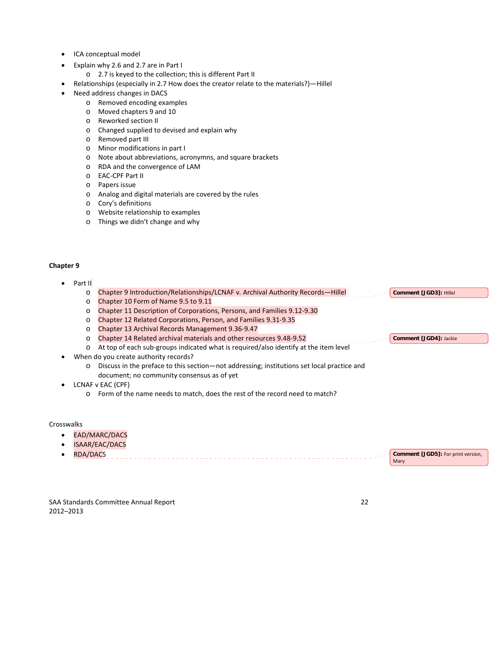- ICA conceptual model
	- Explain why 2.6 and 2.7 are in Part I
		- o 2.7 is keyed to the collection; this is different Part II
- Relationships (especially in 2.7 How does the creator relate to the materials?)—Hillel
- Need address changes in DACS
	- o Removed encoding examples
	- o Moved chapters 9 and 10
	- o Reworked section II
	- o Changed supplied to devised and explain why
	- o Removed part III
	- o Minor modifications in part I
	- o Note about abbreviations, acronymns, and square brackets
	- o RDA and the convergence of LAM
	- o EAC‐CPF Part II
	- o Papers issue
	- o Analog and digital materials are covered by the rules
	- o Cory's definitions
	- o Website relationship to examples
	- o Things we didn't change and why

## **Chapter 9**

- Part II
	- o Chapter 9 Introduction/Relationships/LCNAF v. Archival Authority Records—Hillel **Comment [JGD3]:** Hillel
	- o Chapter 10 Form of Name 9.5 to 9.11
	- o Chapter 11 Description of Corporations, Persons, and Families 9.12‐9.30
	- o Chapter 12 Related Corporations, Person, and Families 9.31‐9.35
	- o Chapter 13 Archival Records Management 9.36‐9.47
	- o Chapter 14 Related archival materials and other resources 9.48‐9.52
	- o At top of each sub‐groups indicated what is required/also identify at the item level
- When do you create authority records?
	- o Discuss in the preface to this section—not addressing; institutions set local practice and document; no community consensus as of yet
- LCNAF v EAC (CPF)
	- o Form of the name needs to match, does the rest of the record need to match?

#### **Crosswalks**

- **EAD/MARC/DACS**
- ISAAR/EAC/DACS
- RDA/DACS **Comment [JGD5]:** For print version, Mary

SAA Standards Committee Annual Report 22 2012–2013

**Comment [JGD4]:** Jackie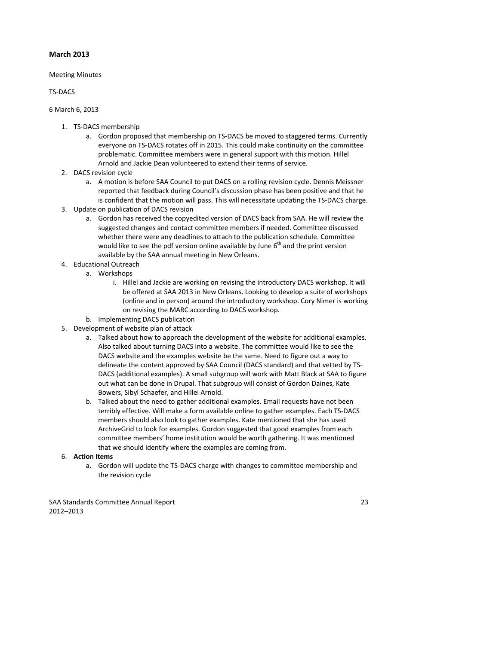# **March 2013**

## Meeting Minutes

## TS‐DACS

## 6 March 6, 2013

- 1. TS‐DACS membership
	- a. Gordon proposed that membership on TS‐DACS be moved to staggered terms. Currently everyone on TS‐DACS rotates off in 2015. This could make continuity on the committee problematic. Committee members were in general support with this motion. Hillel Arnold and Jackie Dean volunteered to extend their terms of service.
- 2. DACS revision cycle
	- a. A motion is before SAA Council to put DACS on a rolling revision cycle. Dennis Meissner reported that feedback during Council's discussion phase has been positive and that he is confident that the motion will pass. This will necessitate updating the TS‐DACS charge.
- 3. Update on publication of DACS revision
	- a. Gordon has received the copyedited version of DACS back from SAA. He will review the suggested changes and contact committee members if needed. Committee discussed whether there were any deadlines to attach to the publication schedule. Committee would like to see the pdf version online available by June  $6<sup>th</sup>$  and the print version available by the SAA annual meeting in New Orleans.
- 4. Educational Outreach
	- a. Workshops
		- i. Hillel and Jackie are working on revising the introductory DACS workshop. It will be offered at SAA 2013 in New Orleans. Looking to develop a suite of workshops (online and in person) around the introductory workshop. Cory Nimer is working on revising the MARC according to DACS workshop.
	- b. Implementing DACS publication
- 5. Development of website plan of attack
	- a. Talked about how to approach the development of the website for additional examples. Also talked about turning DACS into a website. The committee would like to see the DACS website and the examples website be the same. Need to figure out a way to delineate the content approved by SAA Council (DACS standard) and that vetted by TS‐ DACS (additional examples). A small subgroup will work with Matt Black at SAA to figure out what can be done in Drupal. That subgroup will consist of Gordon Daines, Kate Bowers, Sibyl Schaefer, and Hillel Arnold.
	- b. Talked about the need to gather additional examples. Email requests have not been terribly effective. Will make a form available online to gather examples. Each TS‐DACS members should also look to gather examples. Kate mentioned that she has used ArchiveGrid to look for examples. Gordon suggested that good examples from each committee members' home institution would be worth gathering. It was mentioned that we should identify where the examples are coming from.
- 6. **Action Items**
	- a. Gordon will update the TS‐DACS charge with changes to committee membership and the revision cycle

SAA Standards Committee Annual Report **1996** 23 and 23 2012–2013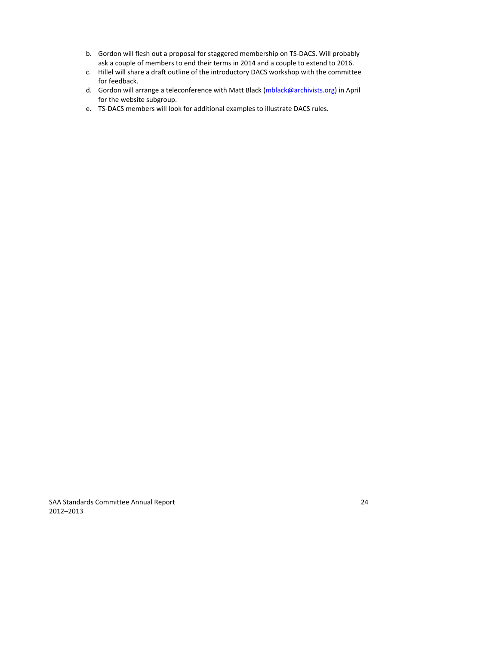- b. Gordon will flesh out a proposal for staggered membership on TS‐DACS. Will probably ask a couple of members to end their terms in 2014 and a couple to extend to 2016.
- c. Hillel will share a draft outline of the introductory DACS workshop with the committee for feedback.
- d. Gordon will arrange a teleconference with Matt Black [\(mblack@archivists.org\)](mailto:mblack@archivists.org) in April for the website subgroup.
- e. TS‐DACS members will look for additional examples to illustrate DACS rules.

SAA Standards Committee Annual Report **1996** 24 2012–2013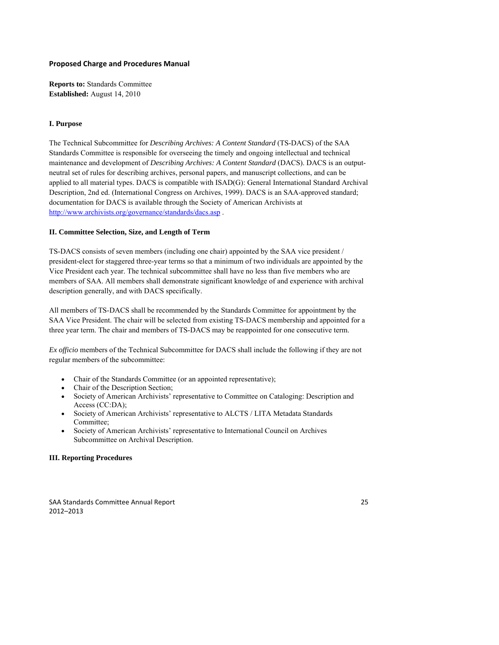## **Proposed Charge and Procedures Manual**

**Reports to:** Standards Committee **Established:** August 14, 2010

## **I. Purpose**

The Technical Subcommittee for *Describing Archives: A Content Standard* (TS-DACS) of the SAA Standards Committee is responsible for overseeing the timely and ongoing intellectual and technical maintenance and development of *Describing Archives: A Content Standard* (DACS). DACS is an outputneutral set of rules for describing archives, personal papers, and manuscript collections, and can be applied to all material types. DACS is compatible with ISAD(G): General International Standard Archival Description, 2nd ed. (International Congress on Archives, 1999). DACS is an SAA-approved standard; documentation for DACS is available through the Society of American Archivists at <http://www.archivists.org/governance/standards/dacs.asp> .

#### **II. Committee Selection, Size, and Length of Term**

TS-DACS consists of seven members (including one chair) appointed by the SAA vice president / president-elect for staggered three-year terms so that a minimum of two individuals are appointed by the Vice President each year. The technical subcommittee shall have no less than five members who are members of SAA. All members shall demonstrate significant knowledge of and experience with archival description generally, and with DACS specifically.

All members of TS-DACS shall be recommended by the Standards Committee for appointment by the SAA Vice President. The chair will be selected from existing TS-DACS membership and appointed for a three year term. The chair and members of TS-DACS may be reappointed for one consecutive term.

*Ex officio* members of the Technical Subcommittee for DACS shall include the following if they are not regular members of the subcommittee:

- Chair of the Standards Committee (or an appointed representative);
- Chair of the Description Section;
- Society of American Archivists' representative to Committee on Cataloging: Description and Access (CC:DA);
- Society of American Archivists' representative to ALCTS / LITA Metadata Standards Committee;
- Society of American Archivists' representative to International Council on Archives Subcommittee on Archival Description.

## **III. Reporting Procedures**

SAA Standards Committee Annual Report **1996** 25 2012–2013

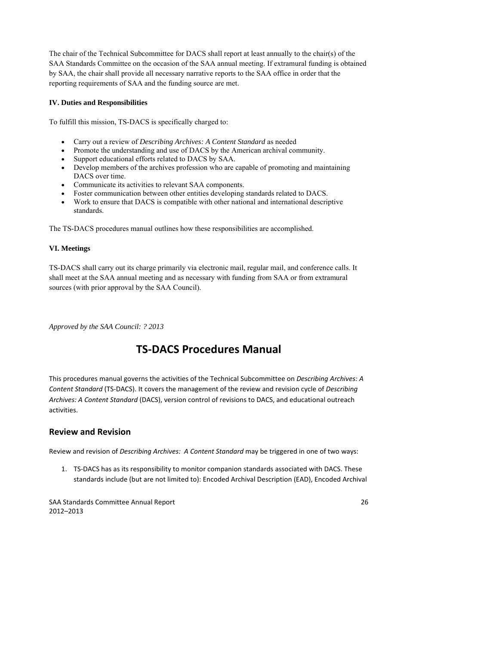The chair of the Technical Subcommittee for DACS shall report at least annually to the chair(s) of the SAA Standards Committee on the occasion of the SAA annual meeting. If extramural funding is obtained by SAA, the chair shall provide all necessary narrative reports to the SAA office in order that the reporting requirements of SAA and the funding source are met.

## **IV. Duties and Responsibilities**

To fulfill this mission, TS-DACS is specifically charged to:

- Carry out a review of *Describing Archives: A Content Standard* as needed
- Promote the understanding and use of DACS by the American archival community.
- Support educational efforts related to DACS by SAA.
- Develop members of the archives profession who are capable of promoting and maintaining DACS over time.
- Communicate its activities to relevant SAA components.
- Foster communication between other entities developing standards related to DACS.
- Work to ensure that DACS is compatible with other national and international descriptive standards.

The TS-DACS procedures manual outlines how these responsibilities are accomplished.

# **VI. Meetings**

TS-DACS shall carry out its charge primarily via electronic mail, regular mail, and conference calls. It shall meet at the SAA annual meeting and as necessary with funding from SAA or from extramural sources (with prior approval by the SAA Council).

*Approved by the SAA Council: ? 2013*

# **TS‐DACS Procedures Manual**

This procedures manual governs the activities of the Technical Subcommittee on *Describing Archives: A Content Standard* (TS‐DACS). It covers the management of the review and revision cycle of *Describing Archives: A Content Standard* (DACS), version control of revisions to DACS, and educational outreach activities.

# **Review and Revision**

Review and revision of *Describing Archives: A Content Standard* may be triggered in one of two ways:

1. TS‐DACS has as its responsibility to monitor companion standards associated with DACS. These standards include (but are not limited to): Encoded Archival Description (EAD), Encoded Archival

SAA Standards Committee Annual Report **1996** 2008 2009 2012 2020 2021 2022 2023 2012–2013

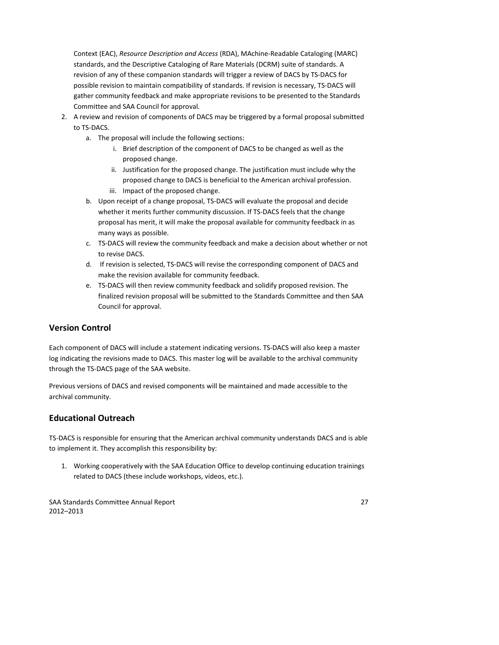Context (EAC), *Resource Description and Access* (RDA), MAchine‐Readable Cataloging (MARC) standards, and the Descriptive Cataloging of Rare Materials (DCRM) suite of standards. A revision of any of these companion standards will trigger a review of DACS by TS‐DACS for possible revision to maintain compatibility of standards. If revision is necessary, TS‐DACS will gather community feedback and make appropriate revisions to be presented to the Standards Committee and SAA Council for approval.

- 2. A review and revision of components of DACS may be triggered by a formal proposal submitted to TS‐DACS.
	- a. The proposal will include the following sections:
		- i. Brief description of the component of DACS to be changed as well as the proposed change.
		- ii. Justification for the proposed change. The justification must include why the proposed change to DACS is beneficial to the American archival profession. iii. Impact of the proposed change.
	- b. Upon receipt of a change proposal, TS‐DACS will evaluate the proposal and decide whether it merits further community discussion. If TS-DACS feels that the change proposal has merit, it will make the proposal available for community feedback in as many ways as possible.
	- c. TS‐DACS will review the community feedback and make a decision about whether or not to revise DACS.
	- d. If revision is selected, TS‐DACS will revise the corresponding component of DACS and make the revision available for community feedback.
	- e. TS‐DACS will then review community feedback and solidify proposed revision. The finalized revision proposal will be submitted to the Standards Committee and then SAA Council for approval.

# **Version Control**

Each component of DACS will include a statement indicating versions. TS‐DACS will also keep a master log indicating the revisions made to DACS. This master log will be available to the archival community through the TS‐DACS page of the SAA website.

Previous versions of DACS and revised components will be maintained and made accessible to the archival community.

# **Educational Outreach**

TS-DACS is responsible for ensuring that the American archival community understands DACS and is able to implement it. They accomplish this responsibility by:

1. Working cooperatively with the SAA Education Office to develop continuing education trainings related to DACS (these include workshops, videos, etc.).

SAA Standards Committee Annual Report **1996** 27 annual Report **1996** 27 2012–2013

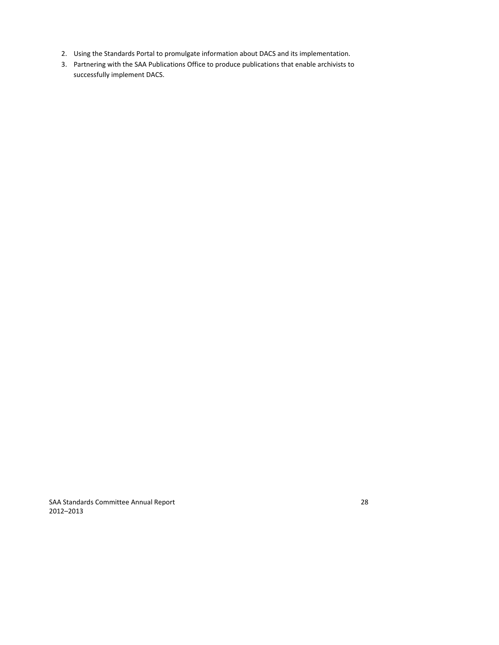- 2. Using the Standards Portal to promulgate information about DACS and its implementation.
- 3. Partnering with the SAA Publications Office to produce publications that enable archivists to successfully implement DACS.

SAA Standards Committee Annual Report **1966** 28 2012–2013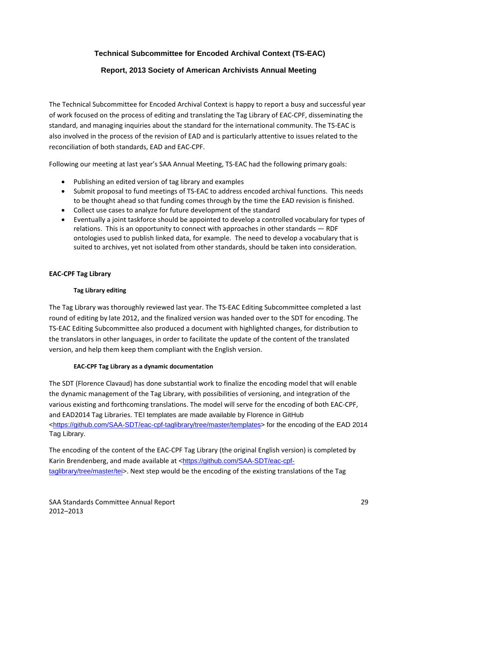# **Technical Subcommittee for Encoded Archival Context (TS-EAC)**

# **Report, 2013 Society of American Archivists Annual Meeting**

The Technical Subcommittee for Encoded Archival Context is happy to report a busy and successful year of work focused on the process of editing and translating the Tag Library of EAC‐CPF, disseminating the standard, and managing inquiries about the standard for the international community. The TS‐EAC is also involved in the process of the revision of EAD and is particularly attentive to issues related to the reconciliation of both standards, EAD and EAC‐CPF.

Following our meeting at last year's SAA Annual Meeting, TS‐EAC had the following primary goals:

- Publishing an edited version of tag library and examples
- Submit proposal to fund meetings of TS-EAC to address encoded archival functions. This needs to be thought ahead so that funding comes through by the time the EAD revision is finished.
- Collect use cases to analyze for future development of the standard
- Eventually a joint taskforce should be appointed to develop a controlled vocabulary for types of relations. This is an opportunity to connect with approaches in other standards — RDF ontologies used to publish linked data, for example. The need to develop a vocabulary that is suited to archives, yet not isolated from other standards, should be taken into consideration.

## **EAC‐CPF Tag Library**

#### **Tag Library editing**

The Tag Library was thoroughly reviewed last year. The TS‐EAC Editing Subcommittee completed a last round of editing by late 2012, and the finalized version was handed over to the SDT for encoding. The TS‐EAC Editing Subcommittee also produced a document with highlighted changes, for distribution to the translators in other languages, in order to facilitate the update of the content of the translated version, and help them keep them compliant with the English version.

#### **EAC‐CPF Tag Library as a dynamic documentation**

The SDT (Florence Clavaud) has done substantial work to finalize the encoding model that will enable the dynamic management of the Tag Library, with possibilities of versioning, and integration of the various existing and forthcoming translations. The model will serve for the encoding of both EAC‐CPF, and EAD2014 Tag Libraries. TEI templates are made available by Florence in GitHub [<https://github.com/SAA-SDT/eac-cpf-taglibrary/tree/master/templates](https://github.com/SAA-SDT/eac-cpf-taglibrary/tree/master/templates)> for the encoding of the EAD 2014 Tag Library.

The encoding of the content of the EAC‐CPF Tag Library (the original English version) is completed by Karin Brendenberg, and made available at [<https://github.com/SAA-SDT/eac-cpf](https://github.com/SAA-SDT/eac-cpf-taglibrary/tree/master/tei)[taglibrary/tree/master/tei>](https://github.com/SAA-SDT/eac-cpf-taglibrary/tree/master/tei). Next step would be the encoding of the existing translations of the Tag

SAA Standards Committee Annual Report **1996** 29 and 2008 29 2012–2013

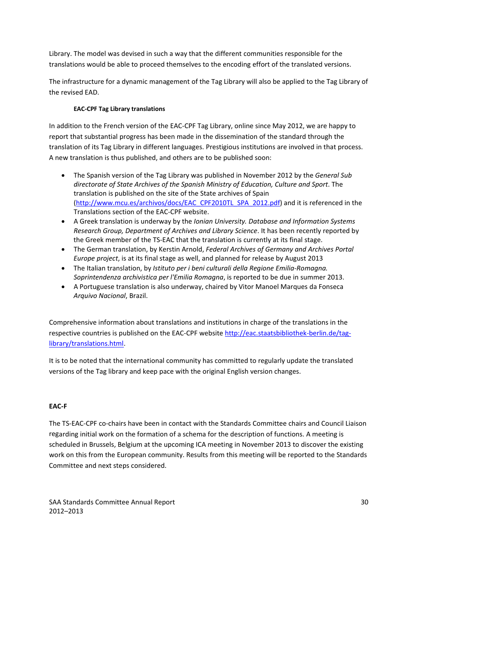Library. The model was devised in such a way that the different communities responsible for the translations would be able to proceed themselves to the encoding effort of the translated versions.

The infrastructure for a dynamic management of the Tag Library will also be applied to the Tag Library of the revised EAD.

### **EAC‐CPF Tag Library translations**

In addition to the French version of the EAC‐CPF Tag Library, online since May 2012, we are happy to report that substantial progress has been made in the dissemination of the standard through the translation of its Tag Library in different languages. Prestigious institutions are involved in that process. A new translation is thus published, and others are to be published soon:

- The Spanish version of the Tag Library was published in November 2012 by the *General Sub directorate of State Archives of the Spanish Ministry of Education, Culture and Sport*. The translation is published on the site of the State archives of Spain [\(http://www.mcu.es/archivos/docs/EAC\\_CPF2010TL\\_SPA\\_2012.pdf\)](http://www.mcu.es/archivos/docs/EAC_CPF2010TL_SPA_2012.pdf) and it is referenced in the Translations section of the EAC‐CPF website.
- A Greek translation is underway by the *Ionian University. Database and Information Systems Research Group, Department of Archives and Library Science*. It has been recently reported by the Greek member of the TS‐EAC that the translation is currently at its final stage.
- The German translation, by Kerstin Arnold, *Federal Archives of Germany and Archives Portal Europe project*, is at its final stage as well, and planned for release by August 2013
- The Italian translation, by *Istituto per i beni culturali della Regione Emilia‐Romagna. Soprintendenza archivistica per l'Emilia Romagna*, is reported to be due in summer 2013.
- A Portuguese translation is also underway, chaired by Vitor Manoel Marques da Fonseca *Arquivo Nacional*, Brazil.

Comprehensive information about translations and institutions in charge of the translations in the respective countries is published on the EAC‐CPF website [http://eac.staatsbibliothek](http://eac.staatsbibliothek-berlin.de/tag-library/translations.html)‐berlin.de/tag‐ [library/translations.html.](http://eac.staatsbibliothek-berlin.de/tag-library/translations.html)

It is to be noted that the international community has committed to regularly update the translated versions of the Tag library and keep pace with the original English version changes.

#### **EAC‐F**

The TS‐EAC‐CPF co‐chairs have been in contact with the Standards Committee chairs and Council Liaison regarding initial work on the formation of a schema for the description of functions. A meeting is scheduled in Brussels, Belgium at the upcoming ICA meeting in November 2013 to discover the existing work on this from the European community. Results from this meeting will be reported to the Standards Committee and next steps considered.

SAA Standards Committee Annual Report 30 2012–2013

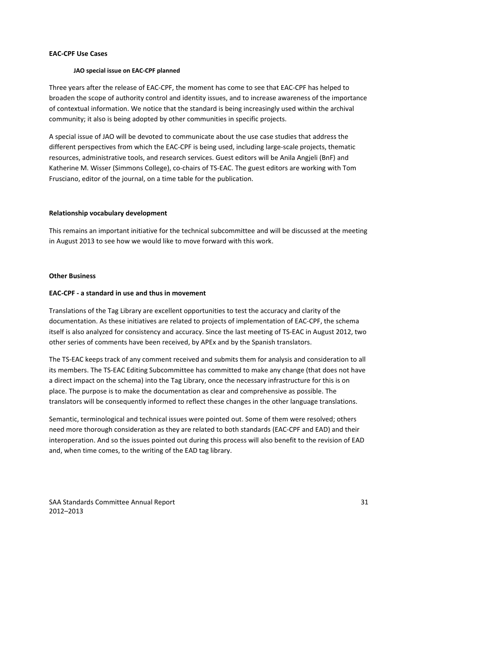## **EAC‐CPF Use Cases**

#### **JAO special issue on EAC‐CPF planned**

Three years after the release of EAC‐CPF, the moment has come to see that EAC‐CPF has helped to broaden the scope of authority control and identity issues, and to increase awareness of the importance of contextual information. We notice that the standard is being increasingly used within the archival community; it also is being adopted by other communities in specific projects.

A special issue of JAO will be devoted to communicate about the use case studies that address the different perspectives from which the EAC-CPF is being used, including large-scale projects, thematic resources, administrative tools, and research services. Guest editors will be Anila Angjeli (BnF) and Katherine M. Wisser (Simmons College), co-chairs of TS-EAC. The guest editors are working with Tom Frusciano, editor of the journal, on a time table for the publication.

#### **Relationship vocabulary development**

This remains an important initiative for the technical subcommittee and will be discussed at the meeting in August 2013 to see how we would like to move forward with this work.

#### **Other Business**

#### **EAC‐CPF ‐ a standard in use and thus in movement**

Translations of the Tag Library are excellent opportunities to test the accuracy and clarity of the documentation. As these initiatives are related to projects of implementation of EAC‐CPF, the schema itself is also analyzed for consistency and accuracy. Since the last meeting of TS‐EAC in August 2012, two other series of comments have been received, by APEx and by the Spanish translators.

The TS‐EAC keeps track of any comment received and submits them for analysis and consideration to all its members. The TS‐EAC Editing Subcommittee has committed to make any change (that does not have a direct impact on the schema) into the Tag Library, once the necessary infrastructure for this is on place. The purpose is to make the documentation as clear and comprehensive as possible. The translators will be consequently informed to reflect these changes in the other language translations.

Semantic, terminological and technical issues were pointed out. Some of them were resolved; others need more thorough consideration as they are related to both standards (EAC‐CPF and EAD) and their interoperation. And so the issues pointed out during this process will also benefit to the revision of EAD and, when time comes, to the writing of the EAD tag library.

SAA Standards Committee Annual Report 31 2012–2013

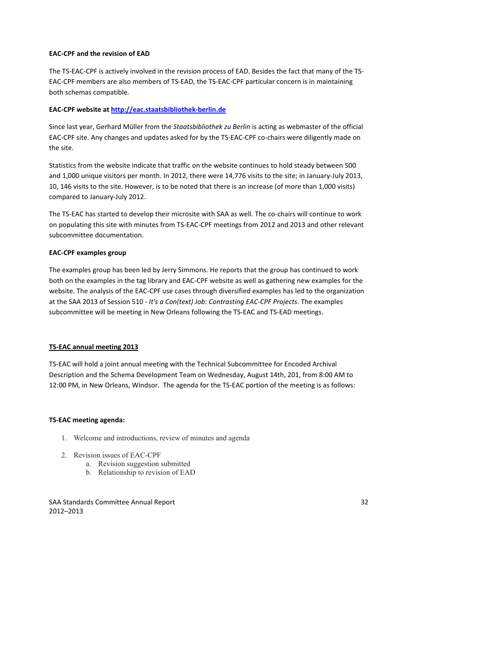## **EAC‐CPF and the revision of EAD**

The TS-EAC-CPF is actively involved in the revision process of EAD. Besides the fact that many of the TS-EAC‐CPF members are also members of TS‐EAD, the TS‐EAC‐CPF particular concern is in maintaining both schemas compatible.

## **EAC‐CPF website at [http://eac.staatsbibliothek](http://eac.staatsbibliothek-berlin.de/)‐berlin.de**

Since last year, Gerhard Müller from the *Staatsbibliothek zu Berlin* is acting as webmaster of the official EAC-CPF site. Any changes and updates asked for by the TS-EAC-CPF co-chairs were diligently made on the site.

Statistics from the website indicate that traffic on the website continues to hold steady between 500 and 1,000 unique visitors per month. In 2012, there were 14,776 visits to the site; in January‐July 2013, 10, 146 visits to the site. However, is to be noted that there is an increase (of more than 1,000 visits) compared to January‐July 2012.

The TS-EAC has started to develop their microsite with SAA as well. The co-chairs will continue to work on populating this site with minutes from TS‐EAC‐CPF meetings from 2012 and 2013 and other relevant subcommittee documentation.

#### **EAC‐CPF examples group**

The examples group has been led by Jerry Simmons. He reports that the group has continued to work both on the examples in the tag library and EAC‐CPF website as well as gathering new examples for the website. The analysis of the EAC‐CPF use cases through diversified examples has led to the organization at the SAA 2013 of Session 510 ‐ *It's a Con(text) Job: Contrasting EAC‐CPF Projects*. The examples subcommittee will be meeting in New Orleans following the TS‐EAC and TS‐EAD meetings.

#### **TS‐EAC annual meeting 2013**

TS‐EAC will hold a joint annual meeting with the Technical Subcommittee for Encoded Archival Description and the Schema Development Team on Wednesday, August 14th, 201, from 8:00 AM to 12:00 PM, in New Orleans, Windsor. The agenda for the TS-EAC portion of the meeting is as follows:

#### **TS‐EAC meeting agenda:**

- 1. Welcome and introductions, review of minutes and agenda
- 2. Revision issues of EAC-CPF
	- a. Revision suggestion submitted
	- b. Relationship to revision of EAD

SAA Standards Committee Annual Report 32 2012–2013

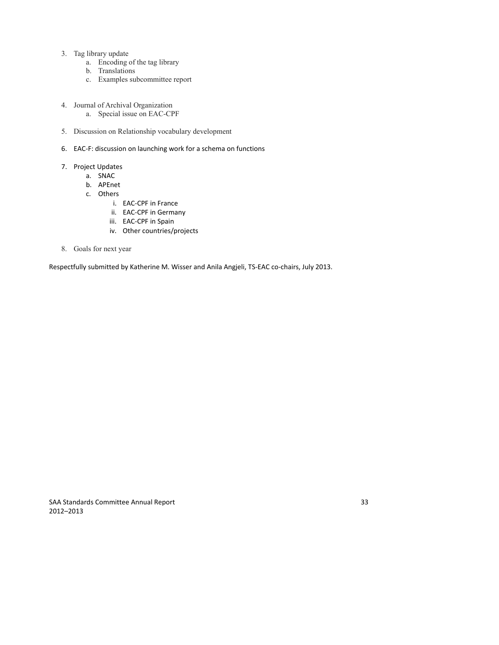- 3. Tag library update
	- a. Encoding of the tag library
	- b. Translations
	- c. Examples subcommittee report
- 4. Journal of Archival Organization a. Special issue on EAC-CPF
- 5. Discussion on Relationship vocabulary development
- 6. EAC‐F: discussion on launching work for a schema on functions
- 7. Project Updates
	- a. SNAC
	- b. APEnet
	- c. Others
		- i. EAC‐CPF in France
		- ii. EAC‐CPF in Germany
		- iii. EAC‐CPF in Spain
		- iv. Other countries/projects
- 8. Goals for next year

Respectfully submitted by Katherine M. Wisser and Anila Angjeli, TS-EAC co-chairs, July 2013.

SAA Standards Committee Annual Report 33 2012–2013

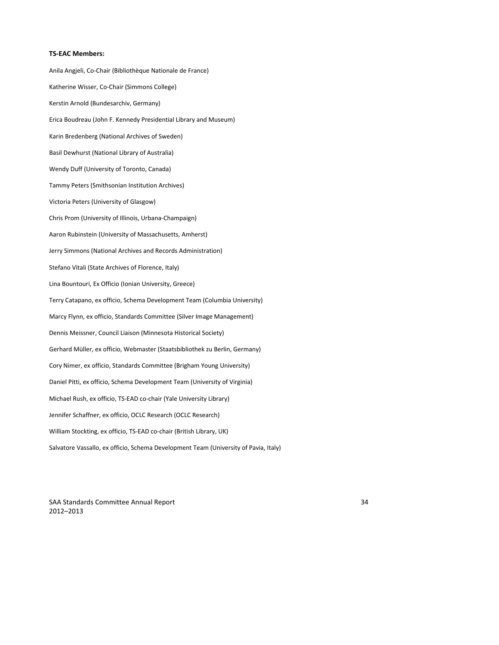#### **TS‐EAC Members:**

Anila Angjeli, Co‐Chair (Bibliothèque Nationale de France) Katherine Wisser, Co‐Chair (Simmons College) Kerstin Arnold (Bundesarchiv, Germany) Erica Boudreau (John F. Kennedy Presidential Library and Museum) Karin Bredenberg (National Archives of Sweden) Basil Dewhurst (National Library of Australia) Wendy Duff (University of Toronto, Canada) Tammy Peters (Smithsonian Institution Archives) Victoria Peters (University of Glasgow) Chris Prom (University of Illinois, Urbana‐Champaign) Aaron Rubinstein (University of Massachusetts, Amherst) Jerry Simmons (National Archives and Records Administration) Stefano Vitali (State Archives of Florence, Italy) Lina Bountouri, Ex Officio (Ionian University, Greece) Terry Catapano, ex officio, Schema Development Team (Columbia University) Marcy Flynn, ex officio, Standards Committee (Silver Image Management) Dennis Meissner, Council Liaison (Minnesota Historical Society) Gerhard Müller, ex officio, Webmaster (Staatsbibliothek zu Berlin, Germany) Cory Nimer, ex officio, Standards Committee (Brigham Young University) Daniel Pitti, ex officio, Schema Development Team (University of Virginia) Michael Rush, ex officio, TS‐EAD co‐chair (Yale University Library) Jennifer Schaffner, ex officio, OCLC Research (OCLC Research) William Stockting, ex officio, TS-EAD co-chair (British Library, UK) Salvatore Vassallo, ex officio, Schema Development Team (University of Pavia, Italy)

SAA Standards Committee Annual Report 34 2012–2013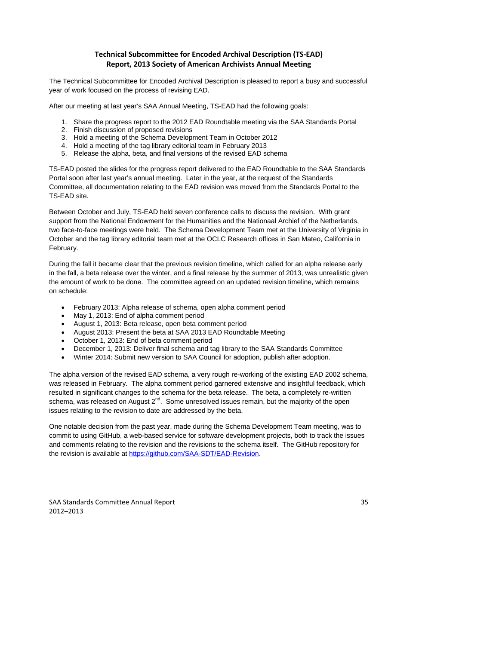# **Technical Subcommittee for Encoded Archival Description (TS‐EAD) Report, 2013 Society of American Archivists Annual Meeting**

The Technical Subcommittee for Encoded Archival Description is pleased to report a busy and successful year of work focused on the process of revising EAD.

After our meeting at last year's SAA Annual Meeting, TS-EAD had the following goals:

- 1. Share the progress report to the 2012 EAD Roundtable meeting via the SAA Standards Portal
- 2. Finish discussion of proposed revisions
- 3. Hold a meeting of the Schema Development Team in October 2012
- 4. Hold a meeting of the tag library editorial team in February 2013
- 5. Release the alpha, beta, and final versions of the revised EAD schema

TS-EAD posted the slides for the progress report delivered to the EAD Roundtable to the SAA Standards Portal soon after last year's annual meeting. Later in the year, at the request of the Standards Committee, all documentation relating to the EAD revision was moved from the Standards Portal to the TS-EAD site.

Between October and July, TS-EAD held seven conference calls to discuss the revision. With grant support from the National Endowment for the Humanities and the Nationaal Archief of the Netherlands, two face-to-face meetings were held. The Schema Development Team met at the University of Virginia in October and the tag library editorial team met at the OCLC Research offices in San Mateo, California in February.

During the fall it became clear that the previous revision timeline, which called for an alpha release early in the fall, a beta release over the winter, and a final release by the summer of 2013, was unrealistic given the amount of work to be done. The committee agreed on an updated revision timeline, which remains on schedule:

- February 2013: Alpha release of schema, open alpha comment period
- May 1, 2013: End of alpha comment period
- August 1, 2013: Beta release, open beta comment period
- August 2013: Present the beta at SAA 2013 EAD Roundtable Meeting
- October 1, 2013: End of beta comment period
- December 1, 2013: Deliver final schema and tag library to the SAA Standards Committee
- Winter 2014: Submit new version to SAA Council for adoption, publish after adoption.

The alpha version of the revised EAD schema, a very rough re-working of the existing EAD 2002 schema, was released in February. The alpha comment period garnered extensive and insightful feedback, which resulted in significant changes to the schema for the beta release. The beta, a completely re-written schema, was released on August  $2^{nd}$ . Some unresolved issues remain, but the majority of the open issues relating to the revision to date are addressed by the beta.

One notable decision from the past year, made during the Schema Development Team meeting, was to commit to using GitHub, a web-based service for software development projects, both to track the issues and comments relating to the revision and the revisions to the schema itself. The GitHub repository for the revision is available at [https://github.com/SAA-SDT/EAD-Revision.](https://github.com/SAA-SDT/EAD-Revision)

SAA Standards Committee Annual Report 35 2012–2013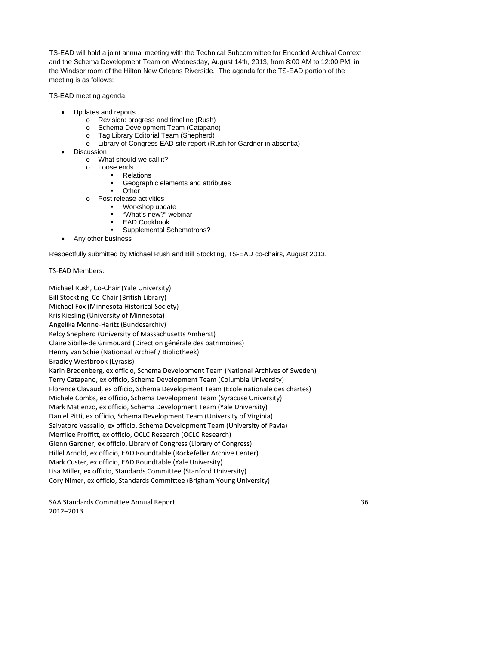TS-EAD will hold a joint annual meeting with the Technical Subcommittee for Encoded Archival Context and the Schema Development Team on Wednesday, August 14th, 2013, from 8:00 AM to 12:00 PM, in the Windsor room of the Hilton New Orleans Riverside. The agenda for the TS-EAD portion of the meeting is as follows:

TS-EAD meeting agenda:

- Updates and reports
	- o Revision: progress and timeline (Rush)
	- o Schema Development Team (Catapano)
	- o Tag Library Editorial Team (Shepherd)
	- o Library of Congress EAD site report (Rush for Gardner in absentia)
- Discussion
	- o What should we call it?
	- o Loose ends
		- **Relations** 
			- Geographic elements and attributes
		- Other
	- o Post release activities
		- Workshop update
		- "What's new?" webinar EAD Cookbook
		- Supplemental Schematrons?
- Any other business

Respectfully submitted by Michael Rush and Bill Stockting, TS-EAD co-chairs, August 2013.

TS‐EAD Members:

Michael Rush, Co‐Chair (Yale University) Bill Stockting, Co‐Chair (British Library) Michael Fox (Minnesota Historical Society) Kris Kiesling (University of Minnesota) Angelika Menne‐Haritz (Bundesarchiv) Kelcy Shepherd (University of Massachusetts Amherst) Claire Sibille‐de Grimouard (Direction générale des patrimoines) Henny van Schie (Nationaal Archief / Bibliotheek) Bradley Westbrook (Lyrasis) Karin Bredenberg, ex officio, Schema Development Team (National Archives of Sweden) Terry Catapano, ex officio, Schema Development Team (Columbia University) Florence Clavaud, ex officio, Schema Development Team (Ecole nationale des chartes) Michele Combs, ex officio, Schema Development Team (Syracuse University) Mark Matienzo, ex officio, Schema Development Team (Yale University) Daniel Pitti, ex officio, Schema Development Team (University of Virginia) Salvatore Vassallo, ex officio, Schema Development Team (University of Pavia) Merrilee Proffitt, ex officio, OCLC Research (OCLC Research) Glenn Gardner, ex officio, Library of Congress (Library of Congress) Hillel Arnold, ex officio, EAD Roundtable (Rockefeller Archive Center) Mark Custer, ex officio, EAD Roundtable (Yale University) Lisa Miller, ex officio, Standards Committee (Stanford University) Cory Nimer, ex officio, Standards Committee (Brigham Young University)

SAA Standards Committee Annual Report 36 2012–2013

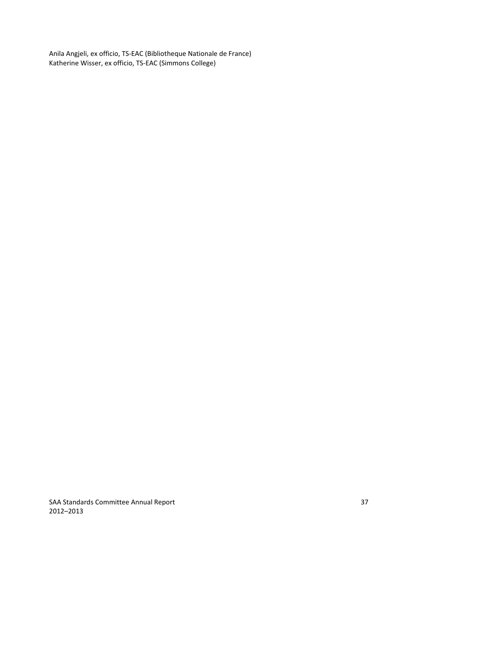Anila Angjeli, ex officio, TS‐EAC (Bibliotheque Nationale de France) Katherine Wisser, ex officio, TS‐EAC (Simmons College)

SAA Standards Committee Annual Report 37 2012–2013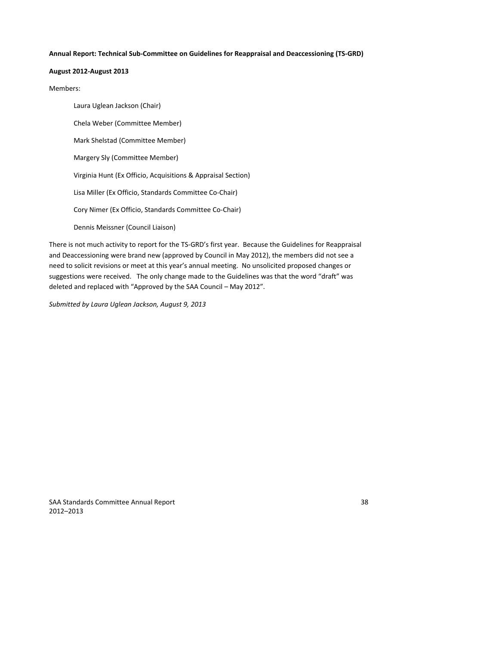#### **Annual Report: Technical Sub‐Committee on Guidelines for Reappraisal and Deaccessioning (TS‐GRD)**

### **August 2012‐August 2013**

#### Members:

Laura Uglean Jackson (Chair) Chela Weber (Committee Member) Mark Shelstad (Committee Member) Margery Sly (Committee Member) Virginia Hunt (Ex Officio, Acquisitions & Appraisal Section) Lisa Miller (Ex Officio, Standards Committee Co‐Chair) Cory Nimer (Ex Officio, Standards Committee Co‐Chair) Dennis Meissner (Council Liaison)

There is not much activity to report for the TS‐GRD's first year. Because the Guidelines for Reappraisal and Deaccessioning were brand new (approved by Council in May 2012), the members did not see a need to solicit revisions or meet at this year's annual meeting. No unsolicited proposed changes or suggestions were received. The only change made to the Guidelines was that the word "draft" was deleted and replaced with "Approved by the SAA Council – May 2012".

*Submitted by Laura Uglean Jackson, August 9, 2013*

SAA Standards Committee Annual Report 38 2012–2013

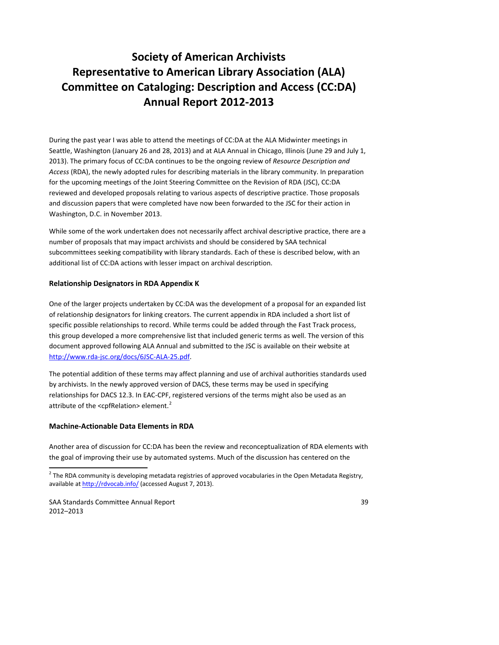# **Society of American Archivists Representative to American Library Association (ALA) Committee on Cataloging: Description and Access (CC:DA) Annual Report 2012‐2013**

During the past year I was able to attend the meetings of CC:DA at the ALA Midwinter meetings in Seattle, Washington (January 26 and 28, 2013) and at ALA Annual in Chicago, Illinois (June 29 and July 1, 2013). The primary focus of CC:DA continues to be the ongoing review of *Resource Description and Access* (RDA), the newly adopted rules for describing materials in the library community. In preparation for the upcoming meetings of the Joint Steering Committee on the Revision of RDA (JSC), CC:DA reviewed and developed proposals relating to various aspects of descriptive practice. Those proposals and discussion papers that were completed have now been forwarded to the JSC for their action in Washington, D.C. in November 2013.

While some of the work undertaken does not necessarily affect archival descriptive practice, there are a number of proposals that may impact archivists and should be considered by SAA technical subcommittees seeking compatibility with library standards. Each of these is described below, with an additional list of CC:DA actions with lesser impact on archival description.

## **Relationship Designators in RDA Appendix K**

One of the larger projects undertaken by CC:DA was the development of a proposal for an expanded list of relationship designators for linking creators. The current appendix in RDA included a short list of specific possible relationships to record. While terms could be added through the Fast Track process, this group developed a more comprehensive list that included generic terms as well. The version of this document approved following ALA Annual and submitted to the JSC is available on their website at http://www.rda‐[jsc.org/docs/6JSC](http://www.rda-jsc.org/docs/6JSC-ALA-25.pdf)‐ALA‐25.pdf.

The potential addition of these terms may affect planning and use of archival authorities standards used by archivists. In the newly approved version of DACS, these terms may be used in specifying relationships for DACS 12.3. In EAC‐CPF, registered versions of the terms might also be used as an attribute of the <cpfRelation> element.<sup>[2](#page-38-0)</sup>

## **Machine‐Actionable Data Elements in RDA**

Another area of discussion for CC:DA has been the review and reconceptualization of RDA elements with the goal of improving their use by automated systems. Much of the discussion has centered on the

<span id="page-38-0"></span>SAA Standards Committee Annual Report 39 2012–2013

 $^2$  The RDA community is developing metadata registries of approved vocabularies in the Open Metadata Registry, available at <http://rdvocab.info/> (accessed August 7, 2013).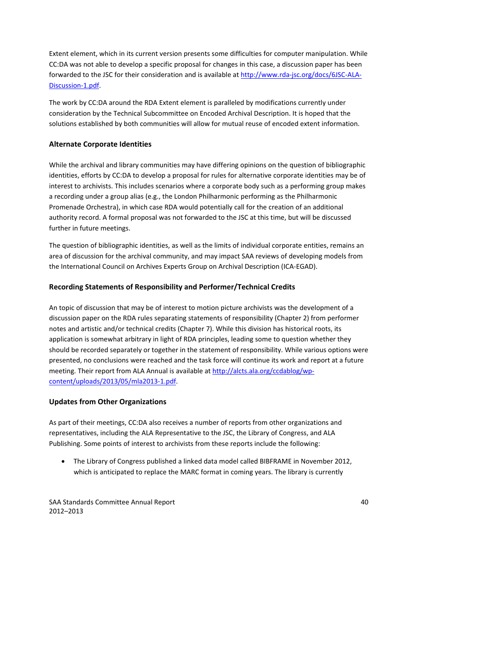Extent element, which in its current version presents some difficulties for computer manipulation. While CC:DA was not able to develop a specific proposal for changes in this case, a discussion paper has been forwarded to the JSC for their consideration and is available at http://www.rda‐[jsc.org/docs/6JSC](http://www.rda-jsc.org/docs/6JSC-ALA-Discussion-1.pdf)‐ALA‐ [Discussion](http://www.rda-jsc.org/docs/6JSC-ALA-Discussion-1.pdf)-1.pdf.

The work by CC:DA around the RDA Extent element is paralleled by modifications currently under consideration by the Technical Subcommittee on Encoded Archival Description. It is hoped that the solutions established by both communities will allow for mutual reuse of encoded extent information.

## **Alternate Corporate Identities**

While the archival and library communities may have differing opinions on the question of bibliographic identities, efforts by CC:DA to develop a proposal for rules for alternative corporate identities may be of interest to archivists. This includes scenarios where a corporate body such as a performing group makes a recording under a group alias (e.g., the London Philharmonic performing as the Philharmonic Promenade Orchestra), in which case RDA would potentially call for the creation of an additional authority record. A formal proposal was not forwarded to the JSC at this time, but will be discussed further in future meetings.

The question of bibliographic identities, as well as the limits of individual corporate entities, remains an area of discussion for the archival community, and may impact SAA reviews of developing models from the International Council on Archives Experts Group on Archival Description (ICA‐EGAD).

### **Recording Statements of Responsibility and Performer/Technical Credits**

An topic of discussion that may be of interest to motion picture archivists was the development of a discussion paper on the RDA rules separating statements of responsibility (Chapter 2) from performer notes and artistic and/or technical credits (Chapter 7). While this division has historical roots, its application is somewhat arbitrary in light of RDA principles, leading some to question whether they should be recorded separately or together in the statement of responsibility. While various options were presented, no conclusions were reached and the task force will continue its work and report at a future meeting. Their report from ALA Annual is available at [http://alcts.ala.org/ccdablog/wp](http://alcts.ala.org/ccdablog/wp-content/uploads/2013/05/mla2013-1.pdf)[content/uploads/2013/05/mla2013](http://alcts.ala.org/ccdablog/wp-content/uploads/2013/05/mla2013-1.pdf)‐1.pdf.

#### **Updates from Other Organizations**

As part of their meetings, CC:DA also receives a number of reports from other organizations and representatives, including the ALA Representative to the JSC, the Library of Congress, and ALA Publishing. Some points of interest to archivists from these reports include the following:

 The Library of Congress published a linked data model called BIBFRAME in November 2012, which is anticipated to replace the MARC format in coming years. The library is currently

SAA Standards Committee Annual Report 40 2012–2013

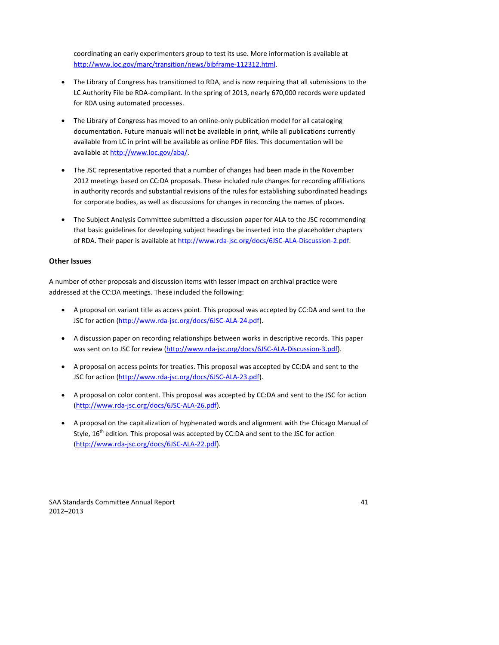coordinating an early experimenters group to test its use. More information is available at http://www.loc.gov/marc/transition/news/bibframe‐112312.html.

- The Library of Congress has transitioned to RDA, and is now requiring that all submissions to the LC Authority File be RDA‐compliant. In the spring of 2013, nearly 670,000 records were updated for RDA using automated processes.
- The Library of Congress has moved to an online-only publication model for all cataloging documentation. Future manuals will not be available in print, while all publications currently available from LC in print will be available as online PDF files. This documentation will be available at <http://www.loc.gov/aba/>.
- The JSC representative reported that a number of changes had been made in the November 2012 meetings based on CC:DA proposals. These included rule changes for recording affiliations in authority records and substantial revisions of the rules for establishing subordinated headings for corporate bodies, as well as discussions for changes in recording the names of places.
- The Subject Analysis Committee submitted a discussion paper for ALA to the JSC recommending that basic guidelines for developing subject headings be inserted into the placeholder chapters of RDA. Their paper is available at http://www.rda-[jsc.org/docs/6JSC](http://www.rda-jsc.org/docs/6JSC-ALA-Discussion-2.pdf)-ALA-Discussion-2.pdf.

# **Other Issues**

A number of other proposals and discussion items with lesser impact on archival practice were addressed at the CC:DA meetings. These included the following:

- A proposal on variant title as access point. This proposal was accepted by CC:DA and sent to the JSC for action (http://www.rda-[jsc.org/docs/6JSC](http://www.rda-jsc.org/docs/6JSC-ALA-24.pdf)-ALA-24.pdf).
- A discussion paper on recording relationships between works in descriptive records. This paper was sent on to JSC for review (http://www.rda-[jsc.org/docs/6JSC](http://www.rda-jsc.org/docs/6JSC-ALA-Discussion-3.pdf)-ALA-Discussion-3.pdf).
- A proposal on access points for treaties. This proposal was accepted by CC:DA and sent to the JSC for action (http://www.rda-[jsc.org/docs/6JSC](http://www.rda-jsc.org/docs/6JSC-ALA-23.pdf)-ALA-23.pdf).
- A proposal on color content. This proposal was accepted by CC:DA and sent to the JSC for action (http://www.rda‐[jsc.org/docs/6JSC](http://www.rda-jsc.org/docs/6JSC-ALA-26.pdf)‐ALA‐26.pdf).
- A proposal on the capitalization of hyphenated words and alignment with the Chicago Manual of Style,  $16<sup>th</sup>$  edition. This proposal was accepted by CC:DA and sent to the JSC for action (http://www.rda‐[jsc.org/docs/6JSC](http://www.rda-jsc.org/docs/6JSC-ALA-22.pdf)‐ALA‐22.pdf).

SAA Standards Committee Annual Report 41 2012–2013

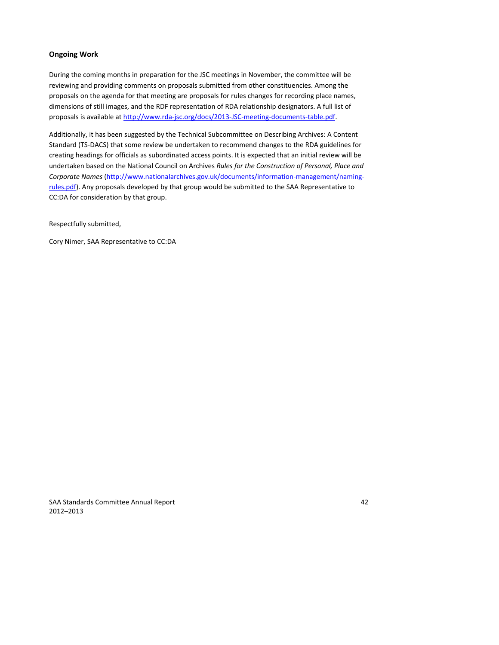# **Ongoing Work**

During the coming months in preparation for the JSC meetings in November, the committee will be reviewing and providing comments on proposals submitted from other constituencies. Among the proposals on the agenda for that meeting are proposals for rules changes for recording place names, dimensions of still images, and the RDF representation of RDA relationship designators. A full list of proposals is available at http://www.rda-[jsc.org/docs/2013](http://www.rda-jsc.org/docs/2013-JSC-meeting-documents-table.pdf)-JSC-meeting-documents-table.pdf.

Additionally, it has been suggested by the Technical Subcommittee on Describing Archives: A Content Standard (TS‐DACS) that some review be undertaken to recommend changes to the RDA guidelines for creating headings for officials as subordinated access points. It is expected that an initial review will be undertaken based on the National Council on Archives *Rules for the Construction of Personal, Place and Corporate Names* ([http://www.nationalarchives.gov.uk/documents/information](http://www.nationalarchives.gov.uk/documents/information-management/naming-rules.pdf)‐management/naming‐ [rules.pdf](http://www.nationalarchives.gov.uk/documents/information-management/naming-rules.pdf)). Any proposals developed by that group would be submitted to the SAA Representative to CC:DA for consideration by that group.

Respectfully submitted,

Cory Nimer, SAA Representative to CC:DA

SAA Standards Committee Annual Report 42 2012–2013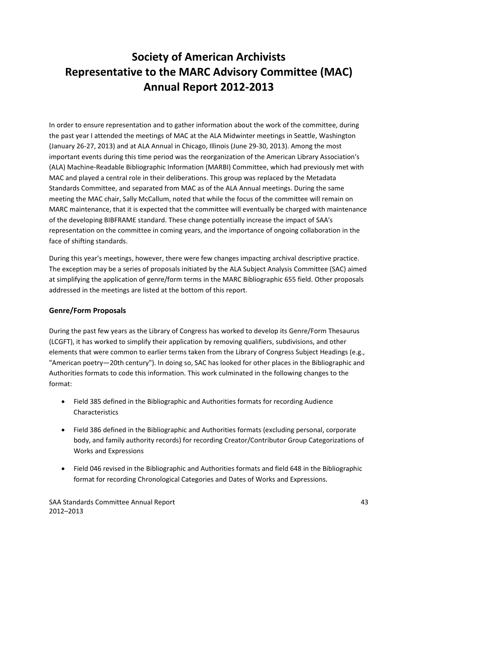# **Society of American Archivists Representative to the MARC Advisory Committee (MAC) Annual Report 2012‐2013**

In order to ensure representation and to gather information about the work of the committee, during the past year I attended the meetings of MAC at the ALA Midwinter meetings in Seattle, Washington (January 26‐27, 2013) and at ALA Annual in Chicago, Illinois (June 29‐30, 2013). Among the most important events during this time period was the reorganization of the American Library Association's (ALA) Machine‐Readable Bibliographic Information (MARBI) Committee, which had previously met with MAC and played a central role in their deliberations. This group was replaced by the Metadata Standards Committee, and separated from MAC as of the ALA Annual meetings. During the same meeting the MAC chair, Sally McCallum, noted that while the focus of the committee will remain on MARC maintenance, that it is expected that the committee will eventually be charged with maintenance of the developing BIBFRAME standard. These change potentially increase the impact of SAA's representation on the committee in coming years, and the importance of ongoing collaboration in the face of shifting standards.

During this year's meetings, however, there were few changes impacting archival descriptive practice. The exception may be a series of proposals initiated by the ALA Subject Analysis Committee (SAC) aimed at simplifying the application of genre/form terms in the MARC Bibliographic 655 field. Other proposals addressed in the meetings are listed at the bottom of this report.

# **Genre/Form Proposals**

During the past few years as the Library of Congress has worked to develop its Genre/Form Thesaurus (LCGFT), it has worked to simplify their application by removing qualifiers, subdivisions, and other elements that were common to earlier terms taken from the Library of Congress Subject Headings (e.g., "American poetry—20th century"). In doing so, SAC has looked for other places in the Bibliographic and Authorities formats to code this information. This work culminated in the following changes to the format:

- Field 385 defined in the Bibliographic and Authorities formats for recording Audience Characteristics
- Field 386 defined in the Bibliographic and Authorities formats (excluding personal, corporate body, and family authority records) for recording Creator/Contributor Group Categorizations of Works and Expressions
- Field 046 revised in the Bibliographic and Authorities formats and field 648 in the Bibliographic format for recording Chronological Categories and Dates of Works and Expressions.

SAA Standards Committee Annual Report 43 2012–2013

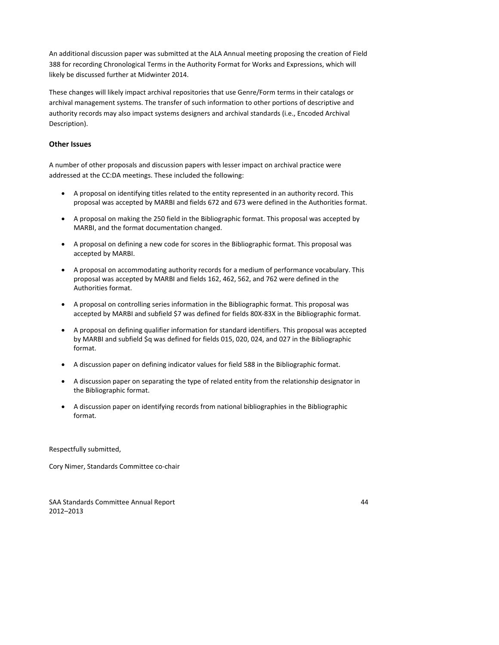An additional discussion paper was submitted at the ALA Annual meeting proposing the creation of Field 388 for recording Chronological Terms in the Authority Format for Works and Expressions, which will likely be discussed further at Midwinter 2014.

These changes will likely impact archival repositories that use Genre/Form terms in their catalogs or archival management systems. The transfer of such information to other portions of descriptive and authority records may also impact systems designers and archival standards (i.e., Encoded Archival Description).

## **Other Issues**

A number of other proposals and discussion papers with lesser impact on archival practice were addressed at the CC:DA meetings. These included the following:

- A proposal on identifying titles related to the entity represented in an authority record. This proposal was accepted by MARBI and fields 672 and 673 were defined in the Authorities format.
- A proposal on making the 250 field in the Bibliographic format. This proposal was accepted by MARBI, and the format documentation changed.
- A proposal on defining a new code for scores in the Bibliographic format. This proposal was accepted by MARBI.
- A proposal on accommodating authority records for a medium of performance vocabulary. This proposal was accepted by MARBI and fields 162, 462, 562, and 762 were defined in the Authorities format.
- A proposal on controlling series information in the Bibliographic format. This proposal was accepted by MARBI and subfield \$7 was defined for fields 80X‐83X in the Bibliographic format.
- A proposal on defining qualifier information for standard identifiers. This proposal was accepted by MARBI and subfield \$q was defined for fields 015, 020, 024, and 027 in the Bibliographic format.
- A discussion paper on defining indicator values for field 588 in the Bibliographic format.
- A discussion paper on separating the type of related entity from the relationship designator in the Bibliographic format.
- A discussion paper on identifying records from national bibliographies in the Bibliographic format.

Respectfully submitted,

Cory Nimer, Standards Committee co‐chair

SAA Standards Committee Annual Report 44 2012–2013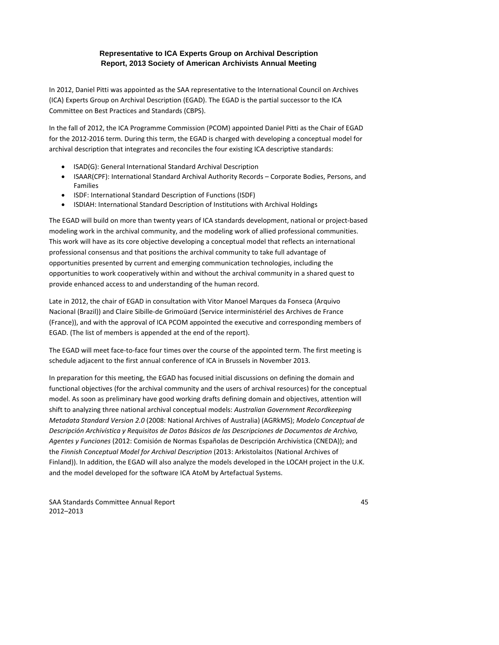# **Representative to ICA Experts Group on Archival Description Report, 2013 Society of American Archivists Annual Meeting**

In 2012, Daniel Pitti was appointed as the SAA representative to the International Council on Archives (ICA) Experts Group on Archival Description (EGAD). The EGAD is the partial successor to the ICA Committee on Best Practices and Standards (CBPS).

In the fall of 2012, the ICA Programme Commission (PCOM) appointed Daniel Pitti as the Chair of EGAD for the 2012‐2016 term. During this term, the EGAD is charged with developing a conceptual model for archival description that integrates and reconciles the four existing ICA descriptive standards:

- ISAD(G): General International Standard Archival Description
- ISAAR(CPF): International Standard Archival Authority Records Corporate Bodies, Persons, and Families
- ISDF: International Standard Description of Functions (ISDF)
- ISDIAH: International Standard Description of Institutions with Archival Holdings

The EGAD will build on more than twenty years of ICA standards development, national or project‐based modeling work in the archival community, and the modeling work of allied professional communities. This work will have as its core objective developing a conceptual model that reflects an international professional consensus and that positions the archival community to take full advantage of opportunities presented by current and emerging communication technologies, including the opportunities to work cooperatively within and without the archival community in a shared quest to provide enhanced access to and understanding of the human record.

Late in 2012, the chair of EGAD in consultation with Vitor Manoel Marques da Fonseca (Arquivo Nacional (Brazil)) and Claire Sibille‐de Grimoüard (Service interministériel des Archives de France (France)), and with the approval of ICA PCOM appointed the executive and corresponding members of EGAD. (The list of members is appended at the end of the report).

The EGAD will meet face-to-face four times over the course of the appointed term. The first meeting is schedule adjacent to the first annual conference of ICA in Brussels in November 2013.

In preparation for this meeting, the EGAD has focused initial discussions on defining the domain and functional objectives (for the archival community and the users of archival resources) for the conceptual model. As soon as preliminary have good working drafts defining domain and objectives, attention will shift to analyzing three national archival conceptual models: *Australian Government Recordkeeping Metadata Standard Version 2.0* (2008: National Archives of Australia) (AGRkMS); *Modelo Conceptual de Descripción Archivística y Requisitos de Datos Básicos de las Descripciones de Documentos de Archivo, Agentes y Funciones* (2012: Comisión de Normas Españolas de Descripción Archivística (CNEDA)); and the *Finnish Conceptual Model for Archival Description* (2013: Arkistolaitos (National Archives of Finland)). In addition, the EGAD will also analyze the models developed in the LOCAH project in the U.K. and the model developed for the software ICA AtoM by Artefactual Systems.

SAA Standards Committee Annual Report 45 2012–2013

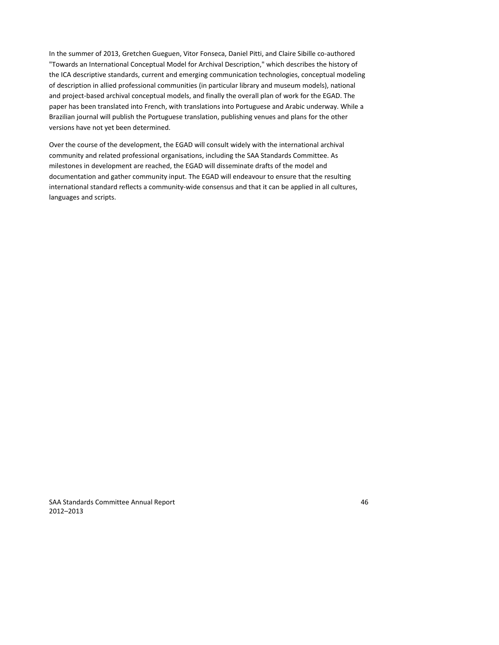In the summer of 2013, Gretchen Gueguen, Vitor Fonseca, Daniel Pitti, and Claire Sibille co-authored "Towards an International Conceptual Model for Archival Description," which describes the history of the ICA descriptive standards, current and emerging communication technologies, conceptual modeling of description in allied professional communities (in particular library and museum models), national and project‐based archival conceptual models, and finally the overall plan of work for the EGAD. The paper has been translated into French, with translations into Portuguese and Arabic underway. While a Brazilian journal will publish the Portuguese translation, publishing venues and plans for the other versions have not yet been determined.

Over the course of the development, the EGAD will consult widely with the international archival community and related professional organisations, including the SAA Standards Committee. As milestones in development are reached, the EGAD will disseminate drafts of the model and documentation and gather community input. The EGAD will endeavour to ensure that the resulting international standard reflects a community‐wide consensus and that it can be applied in all cultures, languages and scripts.

SAA Standards Committee Annual Report 46 2012–2013